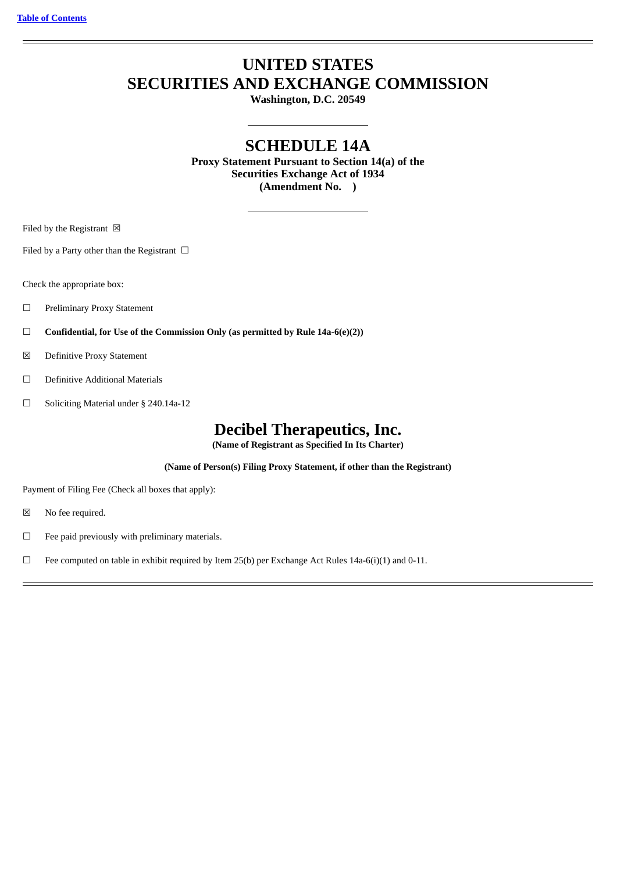# **UNITED STATES SECURITIES AND EXCHANGE COMMISSION**

**Washington, D.C. 20549**

# **SCHEDULE 14A**

**Proxy Statement Pursuant to Section 14(a) of the Securities Exchange Act of 1934 (Amendment No. )**

Filed by the Registrant  $\boxtimes$ 

Filed by a Party other than the Registrant  $\Box$ 

Check the appropriate box:

- □ Preliminary Proxy Statement
- ☐ **Confidential, for Use of the Commission Only (as permitted by Rule 14a-6(e)(2))**
- ☒ Definitive Proxy Statement
- ☐ Definitive Additional Materials
- ☐ Soliciting Material under § 240.14a-12

# **Decibel Therapeutics, Inc.**

**(Name of Registrant as Specified In Its Charter)**

**(Name of Person(s) Filing Proxy Statement, if other than the Registrant)**

Payment of Filing Fee (Check all boxes that apply):

- ☒ No fee required.
- ☐ Fee paid previously with preliminary materials.
- □ Fee computed on table in exhibit required by Item 25(b) per Exchange Act Rules 14a-6(i)(1) and 0-11.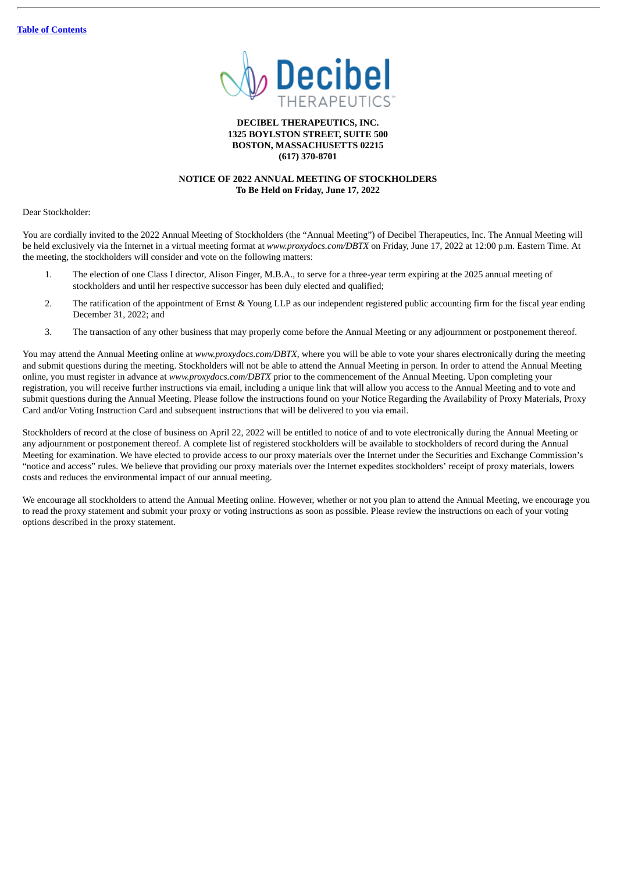

# **DECIBEL THERAPEUTICS, INC. 1325 BOYLSTON STREET, SUITE 500 BOSTON, MASSACHUSETTS 02215 (617) 370-8701**

# **NOTICE OF 2022 ANNUAL MEETING OF STOCKHOLDERS To Be Held on Friday, June 17, 2022**

Dear Stockholder:

You are cordially invited to the 2022 Annual Meeting of Stockholders (the "Annual Meeting") of Decibel Therapeutics, Inc. The Annual Meeting will be held exclusively via the Internet in a virtual meeting format at *www.proxydocs.com/DBTX* on Friday, June 17, 2022 at 12:00 p.m. Eastern Time. At the meeting, the stockholders will consider and vote on the following matters:

- 1. The election of one Class I director, Alison Finger, M.B.A., to serve for a three-year term expiring at the 2025 annual meeting of stockholders and until her respective successor has been duly elected and qualified;
- 2. The ratification of the appointment of Ernst & Young LLP as our independent registered public accounting firm for the fiscal year ending December 31, 2022; and
- 3. The transaction of any other business that may properly come before the Annual Meeting or any adjournment or postponement thereof.

You may attend the Annual Meeting online at *www.proxydocs.com/DBTX*, where you will be able to vote your shares electronically during the meeting and submit questions during the meeting. Stockholders will not be able to attend the Annual Meeting in person. In order to attend the Annual Meeting online, you must register in advance at *www.proxydocs.com/DBTX* prior to the commencement of the Annual Meeting. Upon completing your registration, you will receive further instructions via email, including a unique link that will allow you access to the Annual Meeting and to vote and submit questions during the Annual Meeting. Please follow the instructions found on your Notice Regarding the Availability of Proxy Materials, Proxy Card and/or Voting Instruction Card and subsequent instructions that will be delivered to you via email.

Stockholders of record at the close of business on April 22, 2022 will be entitled to notice of and to vote electronically during the Annual Meeting or any adjournment or postponement thereof. A complete list of registered stockholders will be available to stockholders of record during the Annual Meeting for examination. We have elected to provide access to our proxy materials over the Internet under the Securities and Exchange Commission's "notice and access" rules. We believe that providing our proxy materials over the Internet expedites stockholders' receipt of proxy materials, lowers costs and reduces the environmental impact of our annual meeting.

We encourage all stockholders to attend the Annual Meeting online. However, whether or not you plan to attend the Annual Meeting, we encourage you to read the proxy statement and submit your proxy or voting instructions as soon as possible. Please review the instructions on each of your voting options described in the proxy statement.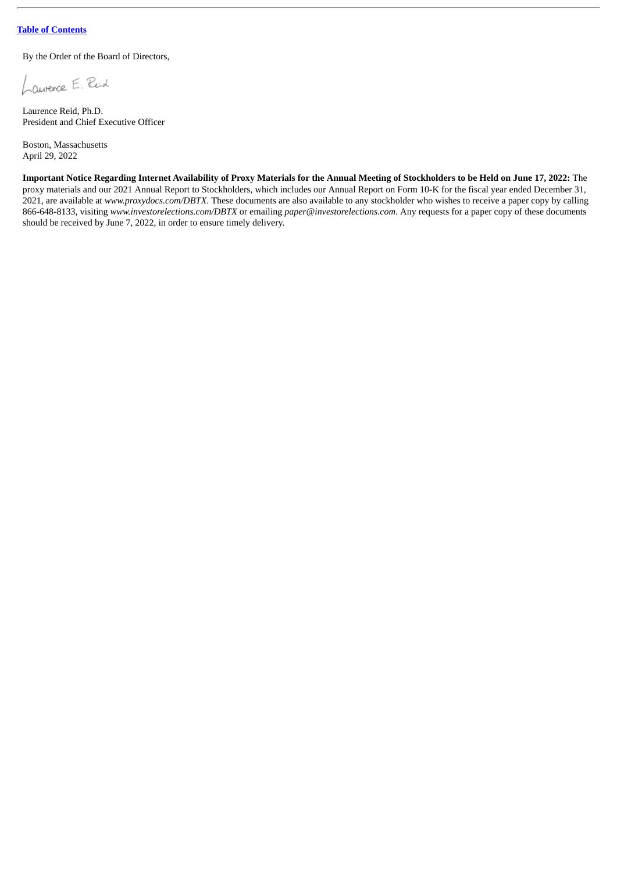By the Order of the Board of Directors,

Laurence E. Reid

Laurence Reid, Ph.D. President and Chief Executive Officer

Boston, Massachusetts April 29, 2022

Important Notice Regarding Internet Availability of Proxy Materials for the Annual Meeting of Stockholders to be Held on June 17, 2022: The proxy materials and our 2021 Annual Report to Stockholders, which includes our Annual Report on Form 10-K for the fiscal year ended December 31, 2021, are available at *www.proxydocs.com/DBTX*. These documents are also available to any stockholder who wishes to receive a paper copy by calling 866-648-8133, visiting *www.investorelections.com/DBTX* or emailing *paper@investorelections.com*. Any requests for a paper copy of these documents should be received by June 7, 2022, in order to ensure timely delivery.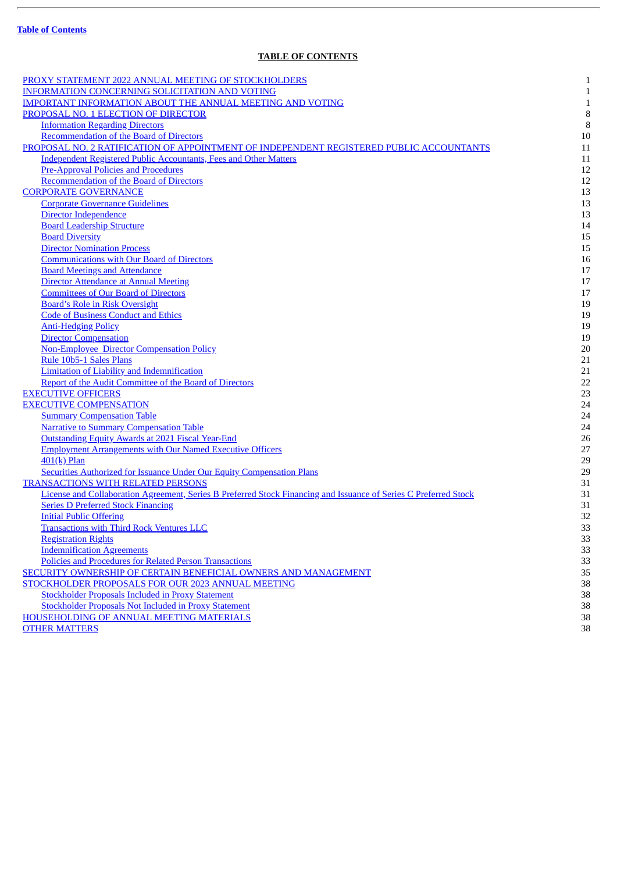$\overline{a}$ 

# **TABLE OF CONTENTS**

<span id="page-3-0"></span>

| PROXY STATEMENT 2022 ANNUAL MEETING OF STOCKHOLDERS                                                              | $\mathbf{1}$ |
|------------------------------------------------------------------------------------------------------------------|--------------|
| <b>INFORMATION CONCERNING SOLICITATION AND VOTING</b>                                                            | $\mathbf{1}$ |
| <b>IMPORTANT INFORMATION ABOUT THE ANNUAL MEETING AND VOTING</b>                                                 | $\mathbf{1}$ |
| PROPOSAL NO. 1 ELECTION OF DIRECTOR                                                                              | 8            |
| <b>Information Regarding Directors</b>                                                                           | $\, 8$       |
| Recommendation of the Board of Directors                                                                         | 10           |
| PROPOSAL NO. 2 RATIFICATION OF APPOINTMENT OF INDEPENDENT REGISTERED PUBLIC ACCOUNTANTS                          | 11           |
| <b>Independent Registered Public Accountants, Fees and Other Matters</b>                                         | 11           |
| <b>Pre-Approval Policies and Procedures</b>                                                                      | 12           |
| Recommendation of the Board of Directors                                                                         | 12           |
| <b>CORPORATE GOVERNANCE</b>                                                                                      | 13           |
| <b>Corporate Governance Guidelines</b>                                                                           | 13           |
| Director Independence                                                                                            | 13           |
| <b>Board Leadership Structure</b>                                                                                | 14           |
| <b>Board Diversity</b>                                                                                           | 15           |
| <b>Director Nomination Process</b>                                                                               | 15           |
| <b>Communications with Our Board of Directors</b>                                                                | 16           |
| <b>Board Meetings and Attendance</b>                                                                             | 17           |
| <b>Director Attendance at Annual Meeting</b>                                                                     | 17           |
| <b>Committees of Our Board of Directors</b>                                                                      | 17           |
| <b>Board's Role in Risk Oversight</b>                                                                            | 19           |
| <b>Code of Business Conduct and Ethics</b>                                                                       | 19           |
| <b>Anti-Hedging Policy</b>                                                                                       | 19           |
| <b>Director Compensation</b>                                                                                     | 19           |
| <b>Non-Employee Director Compensation Policy</b>                                                                 | 20           |
| Rule 10b5-1 Sales Plans                                                                                          | 21           |
| <b>Limitation of Liability and Indemnification</b>                                                               | 21           |
| Report of the Audit Committee of the Board of Directors                                                          | 22           |
| <b>EXECUTIVE OFFICERS</b>                                                                                        | 23           |
| <b>EXECUTIVE COMPENSATION</b>                                                                                    | 24           |
| <b>Summary Compensation Table</b>                                                                                | 24           |
| <b>Narrative to Summary Compensation Table</b>                                                                   | 24           |
| <b>Outstanding Equity Awards at 2021 Fiscal Year-End</b>                                                         | 26           |
| <b>Employment Arrangements with Our Named Executive Officers</b>                                                 | 27           |
|                                                                                                                  |              |
| 401(k) Plan                                                                                                      | 29<br>29     |
| <b>Securities Authorized for Issuance Under Our Equity Compensation Plans</b>                                    |              |
| <b>TRANSACTIONS WITH RELATED PERSONS</b>                                                                         | 31           |
| License and Collaboration Agreement, Series B Preferred Stock Financing and Issuance of Series C Preferred Stock | 31           |
| <b>Series D Preferred Stock Financing</b>                                                                        | 31           |
| <b>Initial Public Offering</b>                                                                                   | 32<br>33     |
| <b>Transactions with Third Rock Ventures LLC</b>                                                                 |              |
| <b>Registration Rights</b>                                                                                       | 33           |
| <b>Indemnification Agreements</b>                                                                                | 33           |
| Policies and Procedures for Related Person Transactions                                                          | 33           |
| SECURITY OWNERSHIP OF CERTAIN BENEFICIAL OWNERS AND MANAGEMENT                                                   | 35           |
| STOCKHOLDER PROPOSALS FOR OUR 2023 ANNUAL MEETING                                                                | 38           |
| <b>Stockholder Proposals Included in Proxy Statement</b>                                                         | 38           |
| <b>Stockholder Proposals Not Included in Proxy Statement</b>                                                     | 38           |
| <b>HOUSEHOLDING OF ANNUAL MEETING MATERIALS</b>                                                                  | 38           |
| <b>OTHER MATTERS</b>                                                                                             | 38           |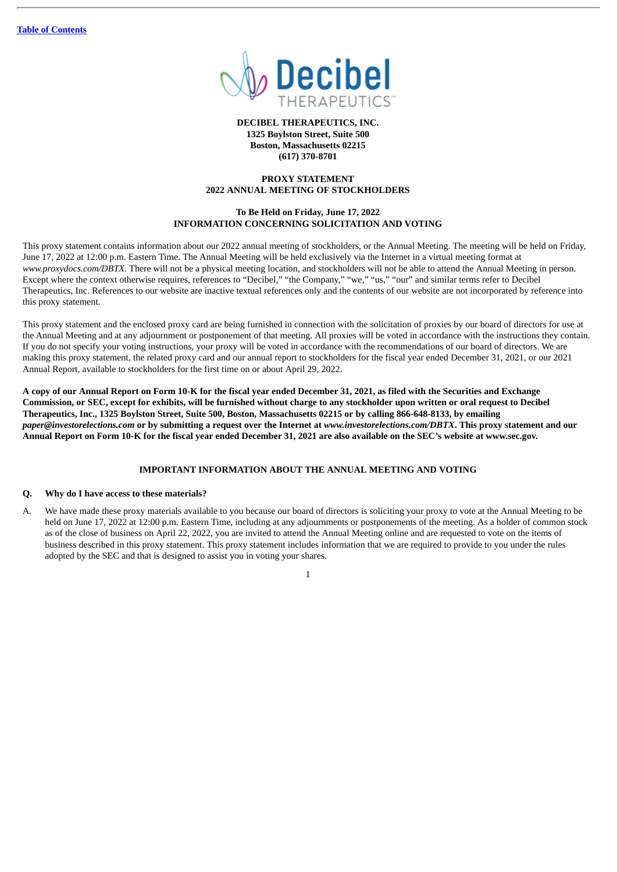

**DECIBEL THERAPEUTICS, INC. 1325 Boylston Street, Suite 500 Boston, Massachusetts 02215 (617) 370-8701**

# **PROXY STATEMENT 2022 ANNUAL MEETING OF STOCKHOLDERS**

# **To Be Held on Friday, June 17, 2022 INFORMATION CONCERNING SOLICITATION AND VOTING**

<span id="page-4-1"></span><span id="page-4-0"></span>This proxy statement contains information about our 2022 annual meeting of stockholders, or the Annual Meeting. The meeting will be held on Friday, June 17, 2022 at 12:00 p.m. Eastern Time. The Annual Meeting will be held exclusively via the Internet in a virtual meeting format at *www.proxydocs.com/DBTX*. There will not be a physical meeting location, and stockholders will not be able to attend the Annual Meeting in person. Except where the context otherwise requires, references to "Decibel," "the Company," "we," "us," "our" and similar terms refer to Decibel Therapeutics, Inc. References to our website are inactive textual references only and the contents of our website are not incorporated by reference into this proxy statement.

This proxy statement and the enclosed proxy card are being furnished in connection with the solicitation of proxies by our board of directors for use at the Annual Meeting and at any adjournment or postponement of that meeting. All proxies will be voted in accordance with the instructions they contain. If you do not specify your voting instructions, your proxy will be voted in accordance with the recommendations of our board of directors. We are making this proxy statement, the related proxy card and our annual report to stockholders for the fiscal year ended December 31, 2021, or our 2021 Annual Report, available to stockholders for the first time on or about April 29, 2022.

A copy of our Annual Report on Form 10-K for the fiscal year ended December 31, 2021, as filed with the Securities and Exchange Commission, or SEC, except for exhibits, will be furnished without charge to any stockholder upon written or oral request to Decibel Therapeutics, Inc., 1325 Boylston Street, Suite 500, Boston, Massachusetts 02215 or by calling 866-648-8133, by emailing paper@investorelections.com or by submitting a request over the Internet at www.investorelections.com/DBTX. This proxy statement and our Annual Report on Form 10-K for the fiscal year ended December 31, 2021 are also available on the SEC's website at www.sec.gov.

# **IMPORTANT INFORMATION ABOUT THE ANNUAL MEETING AND VOTING**

# <span id="page-4-2"></span>**Q. Why do I have access to these materials?**

A. We have made these proxy materials available to you because our board of directors is soliciting your proxy to vote at the Annual Meeting to be held on June 17, 2022 at 12:00 p.m. Eastern Time, including at any adjournments or postponements of the meeting. As a holder of common stock as of the close of business on April 22, 2022, you are invited to attend the Annual Meeting online and are requested to vote on the items of business described in this proxy statement. This proxy statement includes information that we are required to provide to you under the rules adopted by the SEC and that is designed to assist you in voting your shares.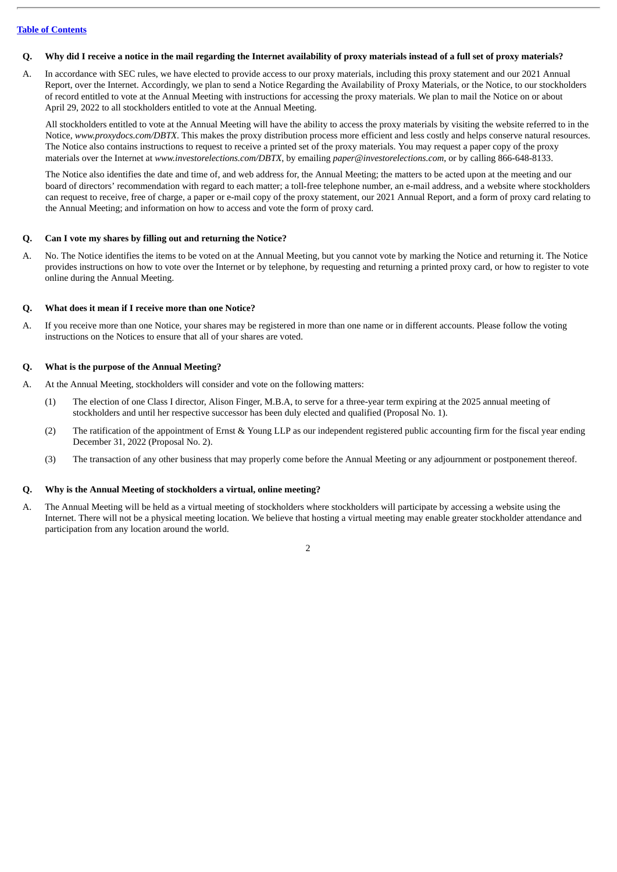## Q. Why did I receive a notice in the mail regarding the Internet availability of proxy materials instead of a full set of proxy materials?

A. In accordance with SEC rules, we have elected to provide access to our proxy materials, including this proxy statement and our 2021 Annual Report, over the Internet. Accordingly, we plan to send a Notice Regarding the Availability of Proxy Materials, or the Notice, to our stockholders of record entitled to vote at the Annual Meeting with instructions for accessing the proxy materials. We plan to mail the Notice on or about April 29, 2022 to all stockholders entitled to vote at the Annual Meeting.

All stockholders entitled to vote at the Annual Meeting will have the ability to access the proxy materials by visiting the website referred to in the Notice, *www.proxydocs.com/DBTX*. This makes the proxy distribution process more efficient and less costly and helps conserve natural resources. The Notice also contains instructions to request to receive a printed set of the proxy materials. You may request a paper copy of the proxy materials over the Internet at *www.investorelections.com/DBTX*, by emailing *paper@investorelections.com*, or by calling 866-648-8133.

The Notice also identifies the date and time of, and web address for, the Annual Meeting; the matters to be acted upon at the meeting and our board of directors' recommendation with regard to each matter; a toll-free telephone number, an e-mail address, and a website where stockholders can request to receive, free of charge, a paper or e-mail copy of the proxy statement, our 2021 Annual Report, and a form of proxy card relating to the Annual Meeting; and information on how to access and vote the form of proxy card.

#### **Q. Can I vote my shares by filling out and returning the Notice?**

A. No. The Notice identifies the items to be voted on at the Annual Meeting, but you cannot vote by marking the Notice and returning it. The Notice provides instructions on how to vote over the Internet or by telephone, by requesting and returning a printed proxy card, or how to register to vote online during the Annual Meeting.

#### **Q. What does it mean if I receive more than one Notice?**

A. If you receive more than one Notice, your shares may be registered in more than one name or in different accounts. Please follow the voting instructions on the Notices to ensure that all of your shares are voted.

#### **Q. What is the purpose of the Annual Meeting?**

- A. At the Annual Meeting, stockholders will consider and vote on the following matters:
	- (1) The election of one Class I director, Alison Finger, M.B.A, to serve for a three-year term expiring at the 2025 annual meeting of stockholders and until her respective successor has been duly elected and qualified (Proposal No. 1).
	- (2) The ratification of the appointment of Ernst & Young LLP as our independent registered public accounting firm for the fiscal year ending December 31, 2022 (Proposal No. 2).
	- (3) The transaction of any other business that may properly come before the Annual Meeting or any adjournment or postponement thereof.

# **Q. Why is the Annual Meeting of stockholders a virtual, online meeting?**

A. The Annual Meeting will be held as a virtual meeting of stockholders where stockholders will participate by accessing a website using the Internet. There will not be a physical meeting location. We believe that hosting a virtual meeting may enable greater stockholder attendance and participation from any location around the world.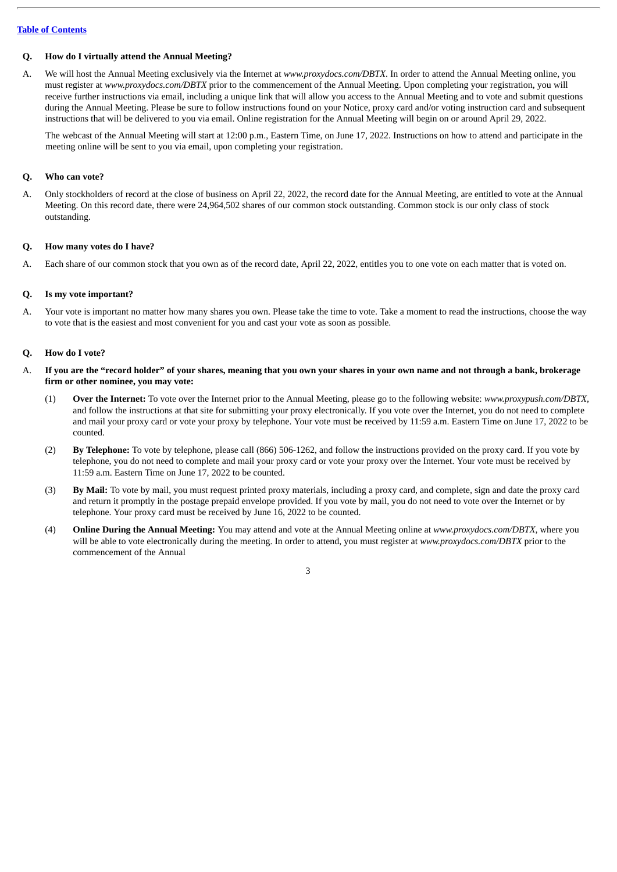# **Q. How do I virtually attend the Annual Meeting?**

A. We will host the Annual Meeting exclusively via the Internet at *www.proxydocs.com/DBTX*. In order to attend the Annual Meeting online, you must register at *www.proxydocs.com/DBTX* prior to the commencement of the Annual Meeting. Upon completing your registration, you will receive further instructions via email, including a unique link that will allow you access to the Annual Meeting and to vote and submit questions during the Annual Meeting. Please be sure to follow instructions found on your Notice, proxy card and/or voting instruction card and subsequent instructions that will be delivered to you via email. Online registration for the Annual Meeting will begin on or around April 29, 2022.

The webcast of the Annual Meeting will start at 12:00 p.m., Eastern Time, on June 17, 2022. Instructions on how to attend and participate in the meeting online will be sent to you via email, upon completing your registration.

# **Q. Who can vote?**

A. Only stockholders of record at the close of business on April 22, 2022, the record date for the Annual Meeting, are entitled to vote at the Annual Meeting. On this record date, there were 24,964,502 shares of our common stock outstanding. Common stock is our only class of stock outstanding.

#### **Q. How many votes do I have?**

A. Each share of our common stock that you own as of the record date, April 22, 2022, entitles you to one vote on each matter that is voted on.

#### **Q. Is my vote important?**

A. Your vote is important no matter how many shares you own. Please take the time to vote. Take a moment to read the instructions, choose the way to vote that is the easiest and most convenient for you and cast your vote as soon as possible.

#### **Q. How do I vote?**

- A. If you are the "record holder" of your shares, meaning that you own your shares in your own name and not through a bank, brokerage **firm or other nominee, you may vote:**
	- (1) **Over the Internet:** To vote over the Internet prior to the Annual Meeting, please go to the following website: *www.proxypush.com/DBTX,* and follow the instructions at that site for submitting your proxy electronically. If you vote over the Internet, you do not need to complete and mail your proxy card or vote your proxy by telephone. Your vote must be received by 11:59 a.m. Eastern Time on June 17, 2022 to be counted.
	- (2) **By Telephone:** To vote by telephone, please call (866) 506-1262, and follow the instructions provided on the proxy card. If you vote by telephone, you do not need to complete and mail your proxy card or vote your proxy over the Internet. Your vote must be received by 11:59 a.m. Eastern Time on June 17, 2022 to be counted.
	- (3) **By Mail:** To vote by mail, you must request printed proxy materials, including a proxy card, and complete, sign and date the proxy card and return it promptly in the postage prepaid envelope provided. If you vote by mail, you do not need to vote over the Internet or by telephone. Your proxy card must be received by June 16, 2022 to be counted.
	- (4) **Online During the Annual Meeting:** You may attend and vote at the Annual Meeting online at *www.proxydocs.com/DBTX*, where you will be able to vote electronically during the meeting. In order to attend, you must register at *www.proxydocs.com/DBTX* prior to the commencement of the Annual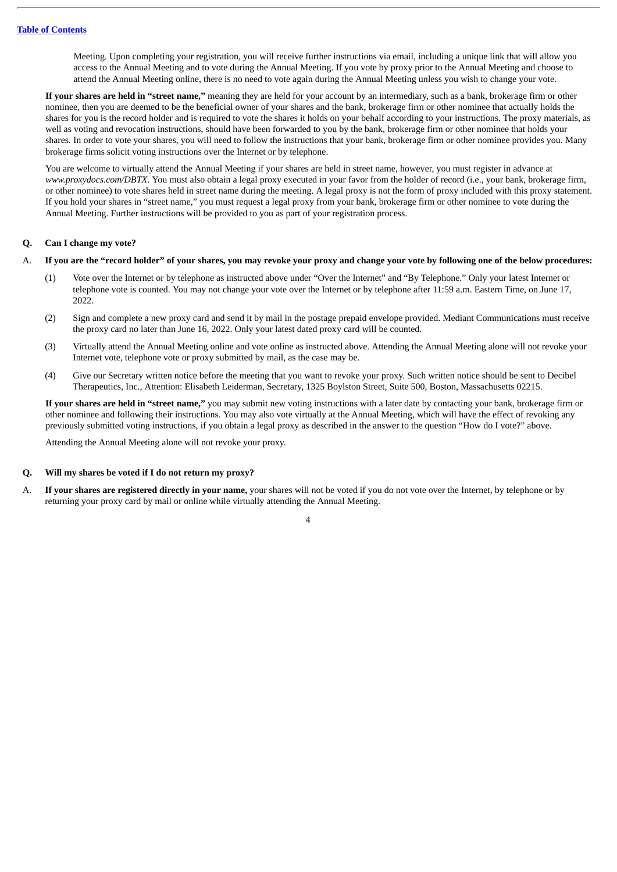Meeting. Upon completing your registration, you will receive further instructions via email, including a unique link that will allow you access to the Annual Meeting and to vote during the Annual Meeting. If you vote by proxy prior to the Annual Meeting and choose to attend the Annual Meeting online, there is no need to vote again during the Annual Meeting unless you wish to change your vote.

**If your shares are held in "street name,"** meaning they are held for your account by an intermediary, such as a bank, brokerage firm or other nominee, then you are deemed to be the beneficial owner of your shares and the bank, brokerage firm or other nominee that actually holds the shares for you is the record holder and is required to vote the shares it holds on your behalf according to your instructions. The proxy materials, as well as voting and revocation instructions, should have been forwarded to you by the bank, brokerage firm or other nominee that holds your shares. In order to vote your shares, you will need to follow the instructions that your bank, brokerage firm or other nominee provides you. Many brokerage firms solicit voting instructions over the Internet or by telephone.

You are welcome to virtually attend the Annual Meeting if your shares are held in street name, however, you must register in advance at *www.proxydocs.com/DBTX*. You must also obtain a legal proxy executed in your favor from the holder of record (i.e., your bank, brokerage firm, or other nominee) to vote shares held in street name during the meeting. A legal proxy is not the form of proxy included with this proxy statement. If you hold your shares in "street name," you must request a legal proxy from your bank, brokerage firm or other nominee to vote during the Annual Meeting. Further instructions will be provided to you as part of your registration process.

# **Q. Can I change my vote?**

#### A. If you are the "record holder" of your shares, you may revoke your proxy and change your vote by following one of the below procedures:

- (1) Vote over the Internet or by telephone as instructed above under "Over the Internet" and "By Telephone." Only your latest Internet or telephone vote is counted. You may not change your vote over the Internet or by telephone after 11:59 a.m. Eastern Time, on June 17, 2022.
- (2) Sign and complete a new proxy card and send it by mail in the postage prepaid envelope provided. Mediant Communications must receive the proxy card no later than June 16, 2022. Only your latest dated proxy card will be counted.
- (3) Virtually attend the Annual Meeting online and vote online as instructed above. Attending the Annual Meeting alone will not revoke your Internet vote, telephone vote or proxy submitted by mail, as the case may be.
- (4) Give our Secretary written notice before the meeting that you want to revoke your proxy. Such written notice should be sent to Decibel Therapeutics, Inc., Attention: Elisabeth Leiderman, Secretary, 1325 Boylston Street, Suite 500, Boston, Massachusetts 02215.

**If your shares are held in "street name,"** you may submit new voting instructions with a later date by contacting your bank, brokerage firm or other nominee and following their instructions. You may also vote virtually at the Annual Meeting, which will have the effect of revoking any previously submitted voting instructions, if you obtain a legal proxy as described in the answer to the question "How do I vote?" above.

Attending the Annual Meeting alone will not revoke your proxy.

#### **Q. Will my shares be voted if I do not return my proxy?**

A. **If your shares are registered directly in your name,** your shares will not be voted if you do not vote over the Internet, by telephone or by returning your proxy card by mail or online while virtually attending the Annual Meeting.

 $\overline{\Delta}$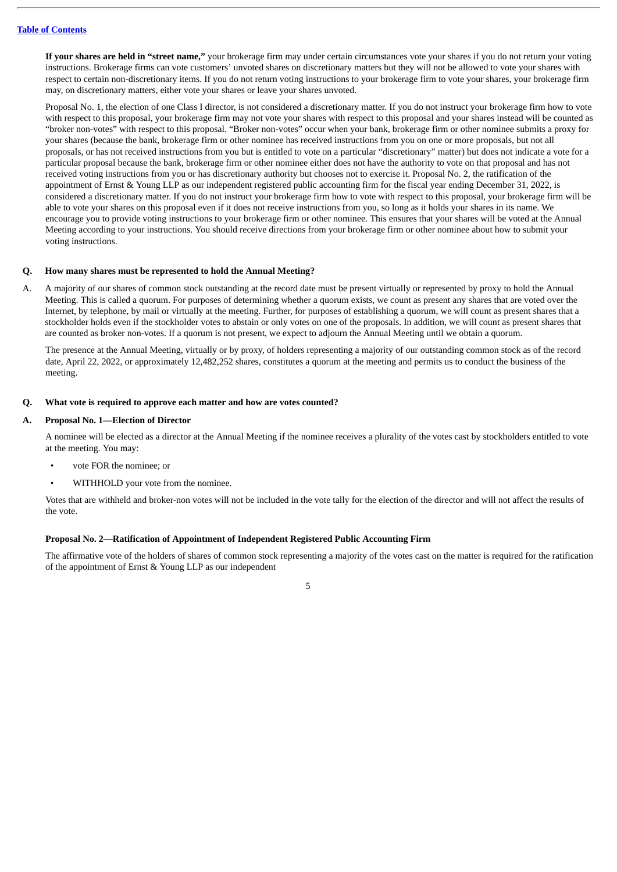**If your shares are held in "street name,"** your brokerage firm may under certain circumstances vote your shares if you do not return your voting instructions. Brokerage firms can vote customers' unvoted shares on discretionary matters but they will not be allowed to vote your shares with respect to certain non-discretionary items. If you do not return voting instructions to your brokerage firm to vote your shares, your brokerage firm may, on discretionary matters, either vote your shares or leave your shares unvoted.

Proposal No. 1, the election of one Class I director, is not considered a discretionary matter. If you do not instruct your brokerage firm how to vote with respect to this proposal, your brokerage firm may not vote your shares with respect to this proposal and your shares instead will be counted as "broker non-votes" with respect to this proposal. "Broker non-votes" occur when your bank, brokerage firm or other nominee submits a proxy for your shares (because the bank, brokerage firm or other nominee has received instructions from you on one or more proposals, but not all proposals, or has not received instructions from you but is entitled to vote on a particular "discretionary" matter) but does not indicate a vote for a particular proposal because the bank, brokerage firm or other nominee either does not have the authority to vote on that proposal and has not received voting instructions from you or has discretionary authority but chooses not to exercise it. Proposal No. 2, the ratification of the appointment of Ernst & Young LLP as our independent registered public accounting firm for the fiscal year ending December 31, 2022, is considered a discretionary matter. If you do not instruct your brokerage firm how to vote with respect to this proposal, your brokerage firm will be able to vote your shares on this proposal even if it does not receive instructions from you, so long as it holds your shares in its name. We encourage you to provide voting instructions to your brokerage firm or other nominee. This ensures that your shares will be voted at the Annual Meeting according to your instructions. You should receive directions from your brokerage firm or other nominee about how to submit your voting instructions.

#### **Q. How many shares must be represented to hold the Annual Meeting?**

A. A majority of our shares of common stock outstanding at the record date must be present virtually or represented by proxy to hold the Annual Meeting. This is called a quorum. For purposes of determining whether a quorum exists, we count as present any shares that are voted over the Internet, by telephone, by mail or virtually at the meeting. Further, for purposes of establishing a quorum, we will count as present shares that a stockholder holds even if the stockholder votes to abstain or only votes on one of the proposals. In addition, we will count as present shares that are counted as broker non-votes. If a quorum is not present, we expect to adjourn the Annual Meeting until we obtain a quorum.

The presence at the Annual Meeting, virtually or by proxy, of holders representing a majority of our outstanding common stock as of the record date, April 22, 2022, or approximately 12,482,252 shares, constitutes a quorum at the meeting and permits us to conduct the business of the meeting.

#### **Q. What vote is required to approve each matter and how are votes counted?**

#### **A. Proposal No. 1—Election of Director**

A nominee will be elected as a director at the Annual Meeting if the nominee receives a plurality of the votes cast by stockholders entitled to vote at the meeting. You may:

- vote FOR the nominee; or
- WITHHOLD your vote from the nominee.

Votes that are withheld and broker-non votes will not be included in the vote tally for the election of the director and will not affect the results of the vote.

# **Proposal No. 2—Ratification of Appointment of Independent Registered Public Accounting Firm**

The affirmative vote of the holders of shares of common stock representing a majority of the votes cast on the matter is required for the ratification of the appointment of Ernst & Young LLP as our independent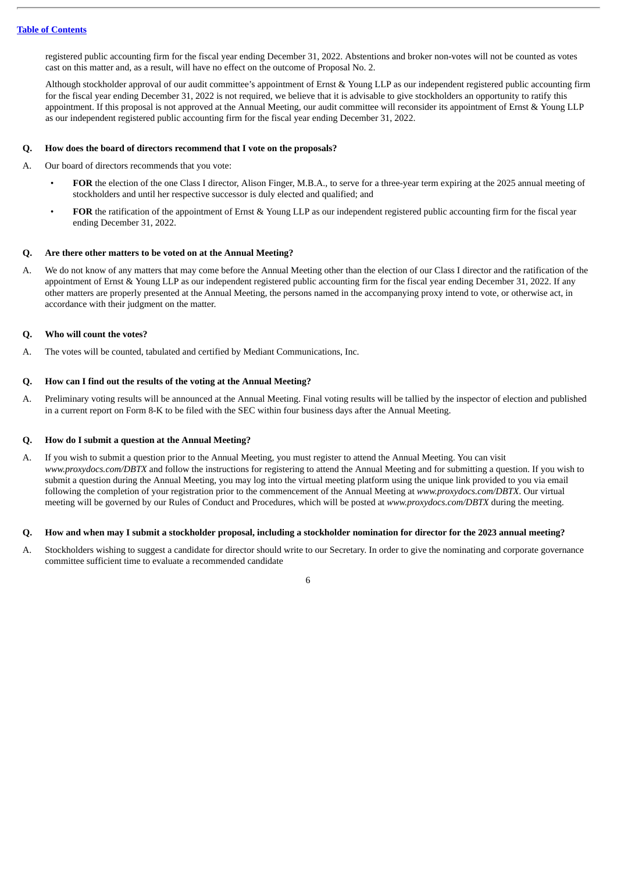registered public accounting firm for the fiscal year ending December 31, 2022. Abstentions and broker non-votes will not be counted as votes cast on this matter and, as a result, will have no effect on the outcome of Proposal No. 2.

Although stockholder approval of our audit committee's appointment of Ernst & Young LLP as our independent registered public accounting firm for the fiscal year ending December 31, 2022 is not required, we believe that it is advisable to give stockholders an opportunity to ratify this appointment. If this proposal is not approved at the Annual Meeting, our audit committee will reconsider its appointment of Ernst & Young LLP as our independent registered public accounting firm for the fiscal year ending December 31, 2022.

# **Q. How does the board of directors recommend that I vote on the proposals?**

A. Our board of directors recommends that you vote:

- **FOR** the election of the one Class I director, Alison Finger, M.B.A., to serve for a three-year term expiring at the 2025 annual meeting of stockholders and until her respective successor is duly elected and qualified; and
- **FOR** the ratification of the appointment of Ernst & Young LLP as our independent registered public accounting firm for the fiscal year ending December 31, 2022.

#### **Q. Are there other matters to be voted on at the Annual Meeting?**

A. We do not know of any matters that may come before the Annual Meeting other than the election of our Class I director and the ratification of the appointment of Ernst & Young LLP as our independent registered public accounting firm for the fiscal year ending December 31, 2022. If any other matters are properly presented at the Annual Meeting, the persons named in the accompanying proxy intend to vote, or otherwise act, in accordance with their judgment on the matter.

# **Q. Who will count the votes?**

A. The votes will be counted, tabulated and certified by Mediant Communications, Inc.

#### **Q. How can I find out the results of the voting at the Annual Meeting?**

A. Preliminary voting results will be announced at the Annual Meeting. Final voting results will be tallied by the inspector of election and published in a current report on Form 8-K to be filed with the SEC within four business days after the Annual Meeting.

#### **Q. How do I submit a question at the Annual Meeting?**

A. If you wish to submit a question prior to the Annual Meeting, you must register to attend the Annual Meeting. You can visit *www.proxydocs.com/DBTX* and follow the instructions for registering to attend the Annual Meeting and for submitting a question. If you wish to submit a question during the Annual Meeting, you may log into the virtual meeting platform using the unique link provided to you via email following the completion of your registration prior to the commencement of the Annual Meeting at *www.proxydocs.com/DBTX*. Our virtual meeting will be governed by our Rules of Conduct and Procedures, which will be posted at *www.proxydocs.com/DBTX* during the meeting.

#### Q. How and when may I submit a stockholder proposal, including a stockholder nomination for director for the 2023 annual meeting?

A. Stockholders wishing to suggest a candidate for director should write to our Secretary. In order to give the nominating and corporate governance committee sufficient time to evaluate a recommended candidate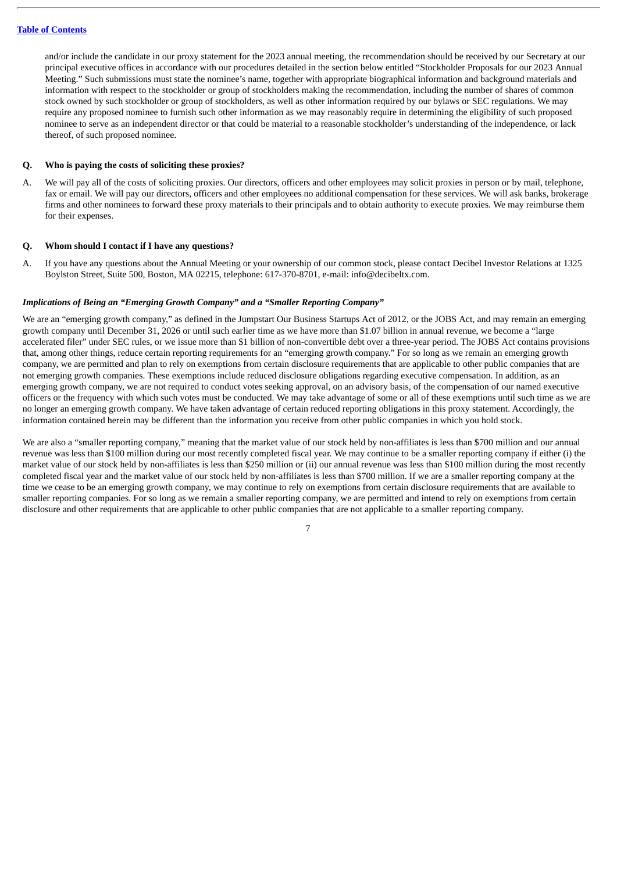and/or include the candidate in our proxy statement for the 2023 annual meeting, the recommendation should be received by our Secretary at our principal executive offices in accordance with our procedures detailed in the section below entitled "Stockholder Proposals for our 2023 Annual Meeting." Such submissions must state the nominee's name, together with appropriate biographical information and background materials and information with respect to the stockholder or group of stockholders making the recommendation, including the number of shares of common stock owned by such stockholder or group of stockholders, as well as other information required by our bylaws or SEC regulations. We may require any proposed nominee to furnish such other information as we may reasonably require in determining the eligibility of such proposed nominee to serve as an independent director or that could be material to a reasonable stockholder's understanding of the independence, or lack thereof, of such proposed nominee.

#### **Q. Who is paying the costs of soliciting these proxies?**

A. We will pay all of the costs of soliciting proxies. Our directors, officers and other employees may solicit proxies in person or by mail, telephone, fax or email. We will pay our directors, officers and other employees no additional compensation for these services. We will ask banks, brokerage firms and other nominees to forward these proxy materials to their principals and to obtain authority to execute proxies. We may reimburse them for their expenses.

#### **Q. Whom should I contact if I have any questions?**

A. If you have any questions about the Annual Meeting or your ownership of our common stock, please contact Decibel Investor Relations at 1325 Boylston Street, Suite 500, Boston, MA 02215, telephone: 617-370-8701, e-mail: info@decibeltx.com.

#### *Implications of Being an "Emerging Growth Company" and a "Smaller Reporting Company"*

We are an "emerging growth company," as defined in the Jumpstart Our Business Startups Act of 2012, or the JOBS Act, and may remain an emerging growth company until December 31, 2026 or until such earlier time as we have more than \$1.07 billion in annual revenue, we become a "large accelerated filer" under SEC rules, or we issue more than \$1 billion of non-convertible debt over a three-year period. The JOBS Act contains provisions that, among other things, reduce certain reporting requirements for an "emerging growth company." For so long as we remain an emerging growth company, we are permitted and plan to rely on exemptions from certain disclosure requirements that are applicable to other public companies that are not emerging growth companies. These exemptions include reduced disclosure obligations regarding executive compensation. In addition, as an emerging growth company, we are not required to conduct votes seeking approval, on an advisory basis, of the compensation of our named executive officers or the frequency with which such votes must be conducted. We may take advantage of some or all of these exemptions until such time as we are no longer an emerging growth company. We have taken advantage of certain reduced reporting obligations in this proxy statement. Accordingly, the information contained herein may be different than the information you receive from other public companies in which you hold stock.

We are also a "smaller reporting company," meaning that the market value of our stock held by non-affiliates is less than \$700 million and our annual revenue was less than \$100 million during our most recently completed fiscal year. We may continue to be a smaller reporting company if either (i) the market value of our stock held by non-affiliates is less than \$250 million or (ii) our annual revenue was less than \$100 million during the most recently completed fiscal year and the market value of our stock held by non-affiliates is less than \$700 million. If we are a smaller reporting company at the time we cease to be an emerging growth company, we may continue to rely on exemptions from certain disclosure requirements that are available to smaller reporting companies. For so long as we remain a smaller reporting company, we are permitted and intend to rely on exemptions from certain disclosure and other requirements that are applicable to other public companies that are not applicable to a smaller reporting company.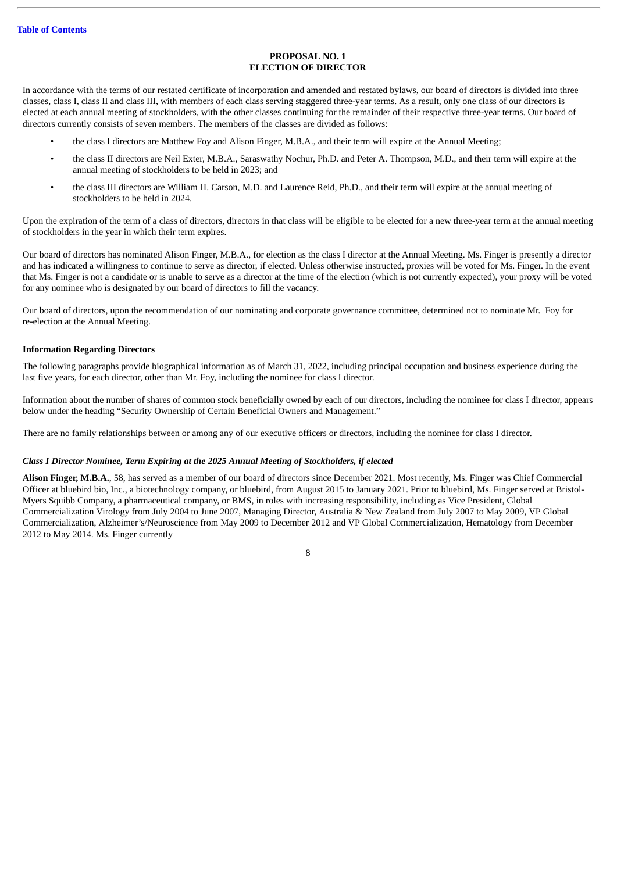#### **PROPOSAL NO. 1 ELECTION OF DIRECTOR**

<span id="page-11-0"></span>In accordance with the terms of our restated certificate of incorporation and amended and restated bylaws, our board of directors is divided into three classes, class I, class II and class III, with members of each class serving staggered three-year terms. As a result, only one class of our directors is elected at each annual meeting of stockholders, with the other classes continuing for the remainder of their respective three-year terms. Our board of directors currently consists of seven members. The members of the classes are divided as follows:

- the class I directors are Matthew Foy and Alison Finger, M.B.A., and their term will expire at the Annual Meeting;
- the class II directors are Neil Exter, M.B.A., Saraswathy Nochur, Ph.D. and Peter A. Thompson, M.D., and their term will expire at the annual meeting of stockholders to be held in 2023; and
- the class III directors are William H. Carson, M.D. and Laurence Reid, Ph.D., and their term will expire at the annual meeting of stockholders to be held in 2024.

Upon the expiration of the term of a class of directors, directors in that class will be eligible to be elected for a new three-year term at the annual meeting of stockholders in the year in which their term expires.

Our board of directors has nominated Alison Finger, M.B.A., for election as the class I director at the Annual Meeting. Ms. Finger is presently a director and has indicated a willingness to continue to serve as director, if elected. Unless otherwise instructed, proxies will be voted for Ms. Finger. In the event that Ms. Finger is not a candidate or is unable to serve as a director at the time of the election (which is not currently expected), your proxy will be voted for any nominee who is designated by our board of directors to fill the vacancy.

Our board of directors, upon the recommendation of our nominating and corporate governance committee, determined not to nominate Mr. Foy for re-election at the Annual Meeting.

#### <span id="page-11-1"></span>**Information Regarding Directors**

The following paragraphs provide biographical information as of March 31, 2022, including principal occupation and business experience during the last five years, for each director, other than Mr. Foy, including the nominee for class I director.

Information about the number of shares of common stock beneficially owned by each of our directors, including the nominee for class I director, appears below under the heading "Security Ownership of Certain Beneficial Owners and Management."

There are no family relationships between or among any of our executive officers or directors, including the nominee for class I director.

# *Class I Director Nominee, Term Expiring at the 2025 Annual Meeting of Stockholders, if elected*

**Alison Finger, M.B.A.**, 58, has served as a member of our board of directors since December 2021. Most recently, Ms. Finger was Chief Commercial Officer at bluebird bio, Inc., a biotechnology company, or bluebird, from August 2015 to January 2021. Prior to bluebird, Ms. Finger served at Bristol-Myers Squibb Company, a pharmaceutical company, or BMS, in roles with increasing responsibility, including as Vice President, Global Commercialization Virology from July 2004 to June 2007, Managing Director, Australia & New Zealand from July 2007 to May 2009, VP Global Commercialization, Alzheimer's/Neuroscience from May 2009 to December 2012 and VP Global Commercialization, Hematology from December 2012 to May 2014. Ms. Finger currently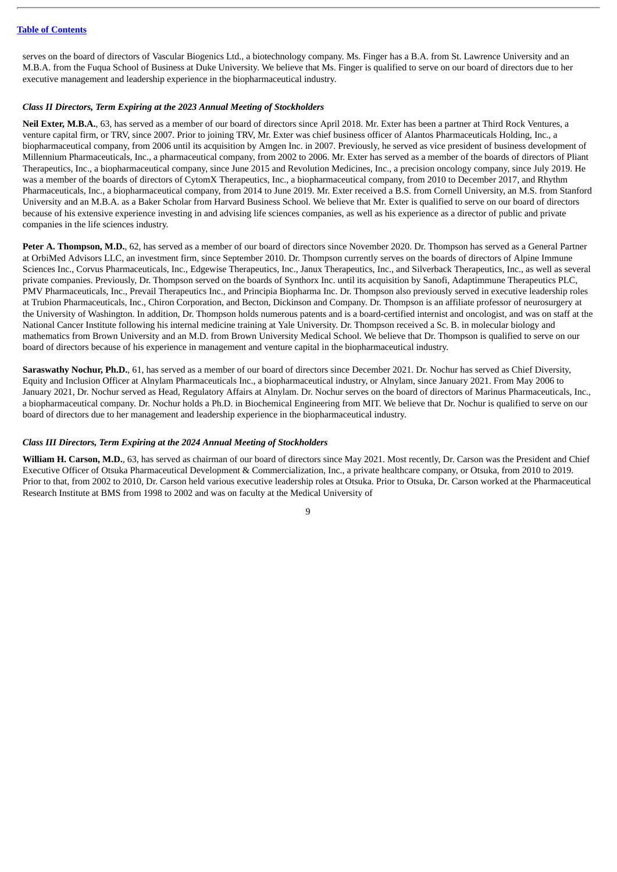serves on the board of directors of Vascular Biogenics Ltd., a biotechnology company. Ms. Finger has a B.A. from St. Lawrence University and an M.B.A. from the Fuqua School of Business at Duke University. We believe that Ms. Finger is qualified to serve on our board of directors due to her executive management and leadership experience in the biopharmaceutical industry.

# *Class II Directors, Term Expiring at the 2023 Annual Meeting of Stockholders*

**Neil Exter, M.B.A.**, 63, has served as a member of our board of directors since April 2018. Mr. Exter has been a partner at Third Rock Ventures, a venture capital firm, or TRV, since 2007. Prior to joining TRV, Mr. Exter was chief business officer of Alantos Pharmaceuticals Holding, Inc., a biopharmaceutical company, from 2006 until its acquisition by Amgen Inc. in 2007. Previously, he served as vice president of business development of Millennium Pharmaceuticals, Inc., a pharmaceutical company, from 2002 to 2006. Mr. Exter has served as a member of the boards of directors of Pliant Therapeutics, Inc., a biopharmaceutical company, since June 2015 and Revolution Medicines, Inc., a precision oncology company, since July 2019. He was a member of the boards of directors of CytomX Therapeutics, Inc., a biopharmaceutical company, from 2010 to December 2017, and Rhythm Pharmaceuticals, Inc., a biopharmaceutical company, from 2014 to June 2019. Mr. Exter received a B.S. from Cornell University, an M.S. from Stanford University and an M.B.A. as a Baker Scholar from Harvard Business School. We believe that Mr. Exter is qualified to serve on our board of directors because of his extensive experience investing in and advising life sciences companies, as well as his experience as a director of public and private companies in the life sciences industry.

**Peter A. Thompson, M.D.**, 62, has served as a member of our board of directors since November 2020. Dr. Thompson has served as a General Partner at OrbiMed Advisors LLC, an investment firm, since September 2010. Dr. Thompson currently serves on the boards of directors of Alpine Immune Sciences Inc., Corvus Pharmaceuticals, Inc., Edgewise Therapeutics, Inc., Janux Therapeutics, Inc., and Silverback Therapeutics, Inc., as well as several private companies. Previously, Dr. Thompson served on the boards of Synthorx Inc. until its acquisition by Sanofi, Adaptimmune Therapeutics PLC, PMV Pharmaceuticals, Inc., Prevail Therapeutics Inc., and Principia Biopharma Inc. Dr. Thompson also previously served in executive leadership roles at Trubion Pharmaceuticals, Inc., Chiron Corporation, and Becton, Dickinson and Company. Dr. Thompson is an affiliate professor of neurosurgery at the University of Washington. In addition, Dr. Thompson holds numerous patents and is a board-certified internist and oncologist, and was on staff at the National Cancer Institute following his internal medicine training at Yale University. Dr. Thompson received a Sc. B. in molecular biology and mathematics from Brown University and an M.D. from Brown University Medical School. We believe that Dr. Thompson is qualified to serve on our board of directors because of his experience in management and venture capital in the biopharmaceutical industry.

**Saraswathy Nochur, Ph.D.**, 61, has served as a member of our board of directors since December 2021. Dr. Nochur has served as Chief Diversity, Equity and Inclusion Officer at Alnylam Pharmaceuticals Inc., a biopharmaceutical industry, or Alnylam, since January 2021. From May 2006 to January 2021, Dr. Nochur served as Head, Regulatory Affairs at Alnylam. Dr. Nochur serves on the board of directors of Marinus Pharmaceuticals, Inc., a biopharmaceutical company. Dr. Nochur holds a Ph.D. in Biochemical Engineering from MIT. We believe that Dr. Nochur is qualified to serve on our board of directors due to her management and leadership experience in the biopharmaceutical industry.

# *Class III Directors, Term Expiring at the 2024 Annual Meeting of Stockholders*

**William H. Carson, M.D.**, 63, has served as chairman of our board of directors since May 2021. Most recently, Dr. Carson was the President and Chief Executive Officer of Otsuka Pharmaceutical Development & Commercialization, Inc., a private healthcare company, or Otsuka, from 2010 to 2019. Prior to that, from 2002 to 2010, Dr. Carson held various executive leadership roles at Otsuka. Prior to Otsuka, Dr. Carson worked at the Pharmaceutical Research Institute at BMS from 1998 to 2002 and was on faculty at the Medical University of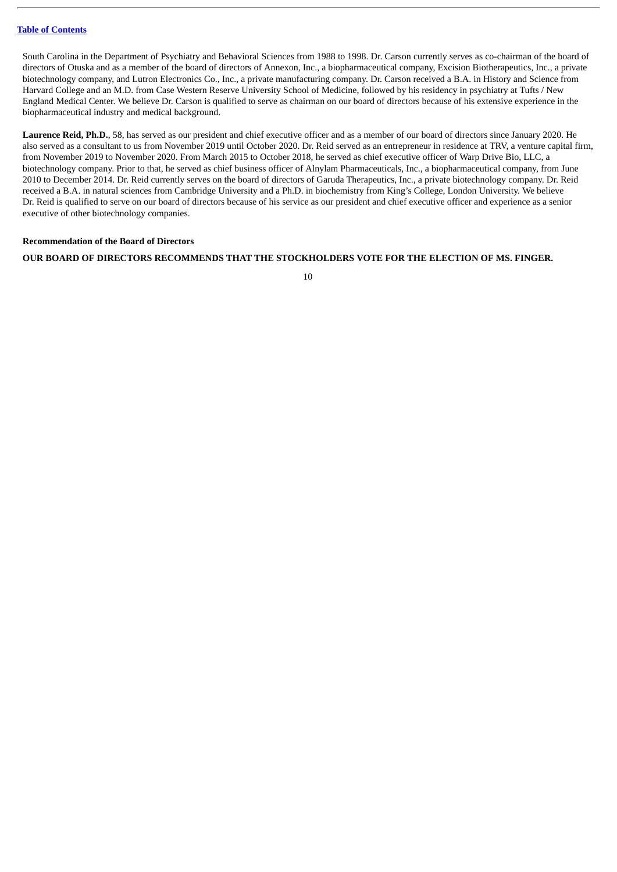South Carolina in the Department of Psychiatry and Behavioral Sciences from 1988 to 1998. Dr. Carson currently serves as co-chairman of the board of directors of Otuska and as a member of the board of directors of Annexon, Inc., a biopharmaceutical company, Excision Biotherapeutics, Inc., a private biotechnology company, and Lutron Electronics Co., Inc., a private manufacturing company. Dr. Carson received a B.A. in History and Science from Harvard College and an M.D. from Case Western Reserve University School of Medicine, followed by his residency in psychiatry at Tufts / New England Medical Center. We believe Dr. Carson is qualified to serve as chairman on our board of directors because of his extensive experience in the biopharmaceutical industry and medical background.

**Laurence Reid, Ph.D.**, 58, has served as our president and chief executive officer and as a member of our board of directors since January 2020. He also served as a consultant to us from November 2019 until October 2020. Dr. Reid served as an entrepreneur in residence at TRV, a venture capital firm, from November 2019 to November 2020. From March 2015 to October 2018, he served as chief executive officer of Warp Drive Bio, LLC, a biotechnology company. Prior to that, he served as chief business officer of Alnylam Pharmaceuticals, Inc., a biopharmaceutical company, from June 2010 to December 2014. Dr. Reid currently serves on the board of directors of Garuda Therapeutics, Inc., a private biotechnology company. Dr. Reid received a B.A. in natural sciences from Cambridge University and a Ph.D. in biochemistry from King's College, London University. We believe Dr. Reid is qualified to serve on our board of directors because of his service as our president and chief executive officer and experience as a senior executive of other biotechnology companies.

# <span id="page-13-0"></span>**Recommendation of the Board of Directors**

# **OUR BOARD OF DIRECTORS RECOMMENDS THAT THE STOCKHOLDERS VOTE FOR THE ELECTION OF MS. FINGER.**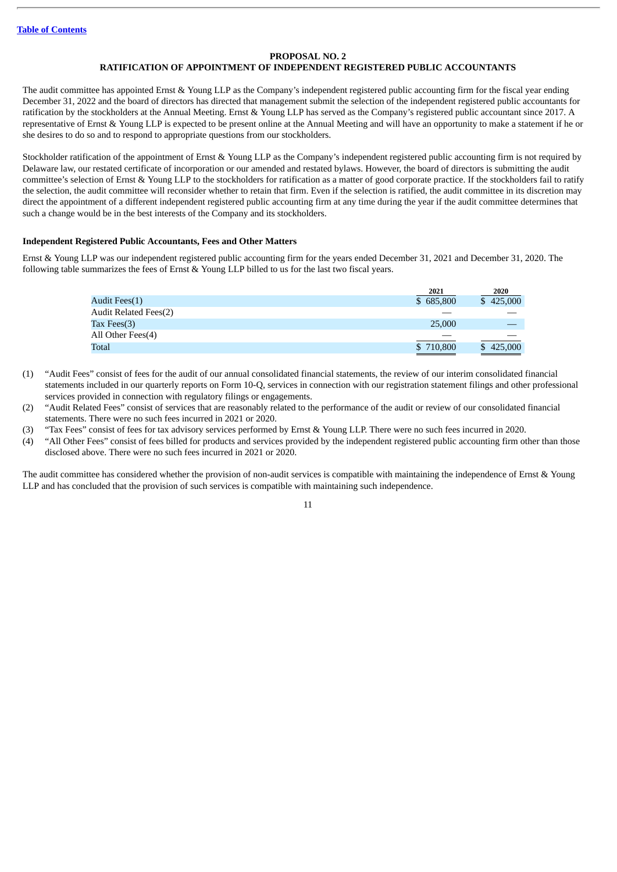# **PROPOSAL NO. 2**

# **RATIFICATION OF APPOINTMENT OF INDEPENDENT REGISTERED PUBLIC ACCOUNTANTS**

<span id="page-14-0"></span>The audit committee has appointed Ernst & Young LLP as the Company's independent registered public accounting firm for the fiscal year ending December 31, 2022 and the board of directors has directed that management submit the selection of the independent registered public accountants for ratification by the stockholders at the Annual Meeting. Ernst & Young LLP has served as the Company's registered public accountant since 2017. A representative of Ernst & Young LLP is expected to be present online at the Annual Meeting and will have an opportunity to make a statement if he or she desires to do so and to respond to appropriate questions from our stockholders.

Stockholder ratification of the appointment of Ernst & Young LLP as the Company's independent registered public accounting firm is not required by Delaware law, our restated certificate of incorporation or our amended and restated bylaws. However, the board of directors is submitting the audit committee's selection of Ernst & Young LLP to the stockholders for ratification as a matter of good corporate practice. If the stockholders fail to ratify the selection, the audit committee will reconsider whether to retain that firm. Even if the selection is ratified, the audit committee in its discretion may direct the appointment of a different independent registered public accounting firm at any time during the year if the audit committee determines that such a change would be in the best interests of the Company and its stockholders.

# <span id="page-14-1"></span>**Independent Registered Public Accountants, Fees and Other Matters**

Ernst & Young LLP was our independent registered public accounting firm for the years ended December 31, 2021 and December 31, 2020. The following table summarizes the fees of Ernst & Young LLP billed to us for the last two fiscal years.

|                       | 2021                                                                                                                 | 2020                                                                                                                 |
|-----------------------|----------------------------------------------------------------------------------------------------------------------|----------------------------------------------------------------------------------------------------------------------|
| Audit Fees(1)         | \$685,800                                                                                                            | \$425,000                                                                                                            |
| Audit Related Fees(2) |                                                                                                                      |                                                                                                                      |
| Tax Fees $(3)$        | 25,000                                                                                                               |                                                                                                                      |
| All Other Fees(4)     |                                                                                                                      |                                                                                                                      |
| Total                 | \$710,800                                                                                                            | \$425,000                                                                                                            |
|                       | <u> 1989 - Johann Stoff, deutscher Stoff, deutscher Stoff, der Stoff, der Stoff, der Stoff, der Stoff, der Stoff</u> | <u> 1989 - Johann Stoff, deutscher Stoff, deutscher Stoff, der Stoff, der Stoff, der Stoff, der Stoff, der Stoff</u> |

- (1) "Audit Fees" consist of fees for the audit of our annual consolidated financial statements, the review of our interim consolidated financial statements included in our quarterly reports on Form 10-Q, services in connection with our registration statement filings and other professional services provided in connection with regulatory filings or engagements.
- (2) "Audit Related Fees" consist of services that are reasonably related to the performance of the audit or review of our consolidated financial statements. There were no such fees incurred in 2021 or 2020.
- (3) "Tax Fees" consist of fees for tax advisory services performed by Ernst & Young LLP. There were no such fees incurred in 2020.
- (4) "All Other Fees" consist of fees billed for products and services provided by the independent registered public accounting firm other than those disclosed above. There were no such fees incurred in 2021 or 2020.

The audit committee has considered whether the provision of non-audit services is compatible with maintaining the independence of Ernst & Young LLP and has concluded that the provision of such services is compatible with maintaining such independence.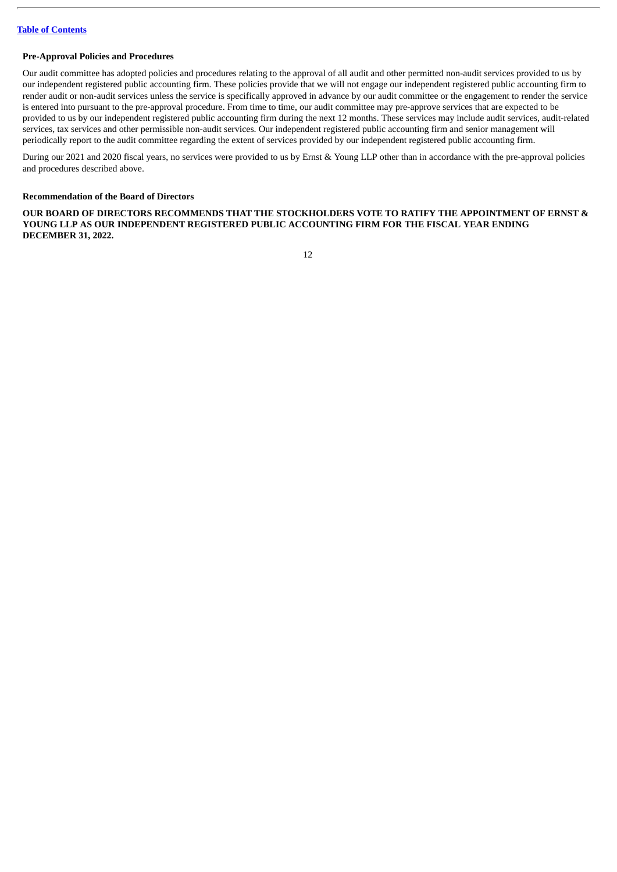#### <span id="page-15-0"></span>**Pre-Approval Policies and Procedures**

Our audit committee has adopted policies and procedures relating to the approval of all audit and other permitted non-audit services provided to us by our independent registered public accounting firm. These policies provide that we will not engage our independent registered public accounting firm to render audit or non-audit services unless the service is specifically approved in advance by our audit committee or the engagement to render the service is entered into pursuant to the pre-approval procedure. From time to time, our audit committee may pre-approve services that are expected to be provided to us by our independent registered public accounting firm during the next 12 months. These services may include audit services, audit-related services, tax services and other permissible non-audit services. Our independent registered public accounting firm and senior management will periodically report to the audit committee regarding the extent of services provided by our independent registered public accounting firm.

During our 2021 and 2020 fiscal years, no services were provided to us by Ernst & Young LLP other than in accordance with the pre-approval policies and procedures described above.

#### <span id="page-15-1"></span>**Recommendation of the Board of Directors**

**OUR BOARD OF DIRECTORS RECOMMENDS THAT THE STOCKHOLDERS VOTE TO RATIFY THE APPOINTMENT OF ERNST & YOUNG LLP AS OUR INDEPENDENT REGISTERED PUBLIC ACCOUNTING FIRM FOR THE FISCAL YEAR ENDING DECEMBER 31, 2022.**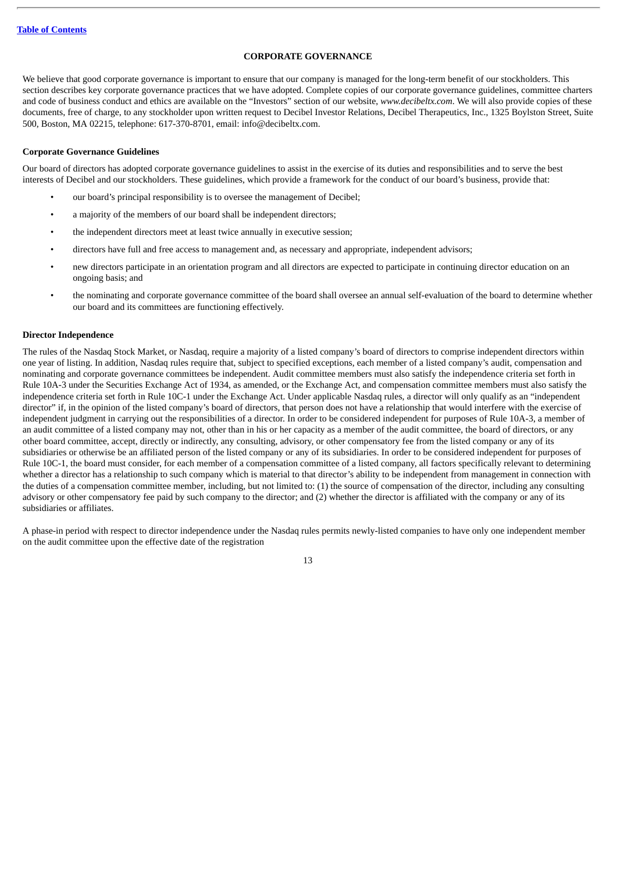#### **CORPORATE GOVERNANCE**

<span id="page-16-0"></span>We believe that good corporate governance is important to ensure that our company is managed for the long-term benefit of our stockholders. This section describes key corporate governance practices that we have adopted. Complete copies of our corporate governance guidelines, committee charters and code of business conduct and ethics are available on the "Investors" section of our website, *www.decibeltx.com*. We will also provide copies of these documents, free of charge, to any stockholder upon written request to Decibel Investor Relations, Decibel Therapeutics, Inc., 1325 Boylston Street, Suite 500, Boston, MA 02215, telephone: 617-370-8701, email: info@decibeltx.com.

#### <span id="page-16-1"></span>**Corporate Governance Guidelines**

Our board of directors has adopted corporate governance guidelines to assist in the exercise of its duties and responsibilities and to serve the best interests of Decibel and our stockholders. These guidelines, which provide a framework for the conduct of our board's business, provide that:

- our board's principal responsibility is to oversee the management of Decibel;
- a majority of the members of our board shall be independent directors;
- the independent directors meet at least twice annually in executive session;
- directors have full and free access to management and, as necessary and appropriate, independent advisors;
- new directors participate in an orientation program and all directors are expected to participate in continuing director education on an ongoing basis; and
- the nominating and corporate governance committee of the board shall oversee an annual self-evaluation of the board to determine whether our board and its committees are functioning effectively.

#### <span id="page-16-2"></span>**Director Independence**

The rules of the Nasdaq Stock Market, or Nasdaq, require a majority of a listed company's board of directors to comprise independent directors within one year of listing. In addition, Nasdaq rules require that, subject to specified exceptions, each member of a listed company's audit, compensation and nominating and corporate governance committees be independent. Audit committee members must also satisfy the independence criteria set forth in Rule 10A-3 under the Securities Exchange Act of 1934, as amended, or the Exchange Act, and compensation committee members must also satisfy the independence criteria set forth in Rule 10C-1 under the Exchange Act. Under applicable Nasdaq rules, a director will only qualify as an "independent director" if, in the opinion of the listed company's board of directors, that person does not have a relationship that would interfere with the exercise of independent judgment in carrying out the responsibilities of a director. In order to be considered independent for purposes of Rule 10A-3, a member of an audit committee of a listed company may not, other than in his or her capacity as a member of the audit committee, the board of directors, or any other board committee, accept, directly or indirectly, any consulting, advisory, or other compensatory fee from the listed company or any of its subsidiaries or otherwise be an affiliated person of the listed company or any of its subsidiaries. In order to be considered independent for purposes of Rule 10C-1, the board must consider, for each member of a compensation committee of a listed company, all factors specifically relevant to determining whether a director has a relationship to such company which is material to that director's ability to be independent from management in connection with the duties of a compensation committee member, including, but not limited to: (1) the source of compensation of the director, including any consulting advisory or other compensatory fee paid by such company to the director; and (2) whether the director is affiliated with the company or any of its subsidiaries or affiliates.

A phase-in period with respect to director independence under the Nasdaq rules permits newly-listed companies to have only one independent member on the audit committee upon the effective date of the registration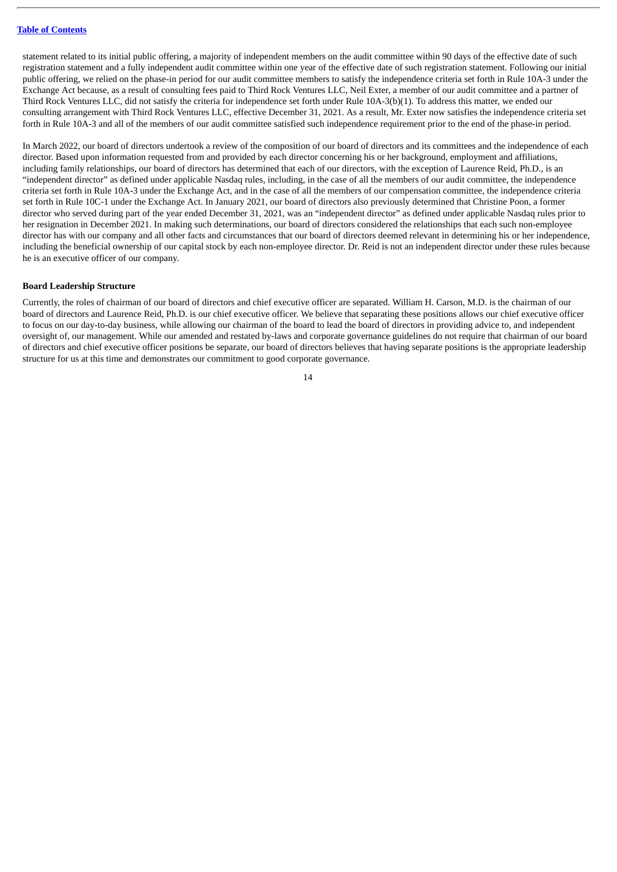statement related to its initial public offering, a majority of independent members on the audit committee within 90 days of the effective date of such registration statement and a fully independent audit committee within one year of the effective date of such registration statement. Following our initial public offering, we relied on the phase-in period for our audit committee members to satisfy the independence criteria set forth in Rule 10A-3 under the Exchange Act because, as a result of consulting fees paid to Third Rock Ventures LLC, Neil Exter, a member of our audit committee and a partner of Third Rock Ventures LLC, did not satisfy the criteria for independence set forth under Rule 10A-3(b)(1). To address this matter, we ended our consulting arrangement with Third Rock Ventures LLC, effective December 31, 2021. As a result, Mr. Exter now satisfies the independence criteria set forth in Rule 10A-3 and all of the members of our audit committee satisfied such independence requirement prior to the end of the phase-in period.

In March 2022, our board of directors undertook a review of the composition of our board of directors and its committees and the independence of each director. Based upon information requested from and provided by each director concerning his or her background, employment and affiliations, including family relationships, our board of directors has determined that each of our directors, with the exception of Laurence Reid, Ph.D., is an "independent director" as defined under applicable Nasdaq rules, including, in the case of all the members of our audit committee, the independence criteria set forth in Rule 10A-3 under the Exchange Act, and in the case of all the members of our compensation committee, the independence criteria set forth in Rule 10C-1 under the Exchange Act. In January 2021, our board of directors also previously determined that Christine Poon, a former director who served during part of the year ended December 31, 2021, was an "independent director" as defined under applicable Nasdaq rules prior to her resignation in December 2021. In making such determinations, our board of directors considered the relationships that each such non-employee director has with our company and all other facts and circumstances that our board of directors deemed relevant in determining his or her independence, including the beneficial ownership of our capital stock by each non-employee director. Dr. Reid is not an independent director under these rules because he is an executive officer of our company.

#### <span id="page-17-0"></span>**Board Leadership Structure**

Currently, the roles of chairman of our board of directors and chief executive officer are separated. William H. Carson, M.D. is the chairman of our board of directors and Laurence Reid, Ph.D. is our chief executive officer. We believe that separating these positions allows our chief executive officer to focus on our day-to-day business, while allowing our chairman of the board to lead the board of directors in providing advice to, and independent oversight of, our management. While our amended and restated by-laws and corporate governance guidelines do not require that chairman of our board of directors and chief executive officer positions be separate, our board of directors believes that having separate positions is the appropriate leadership structure for us at this time and demonstrates our commitment to good corporate governance.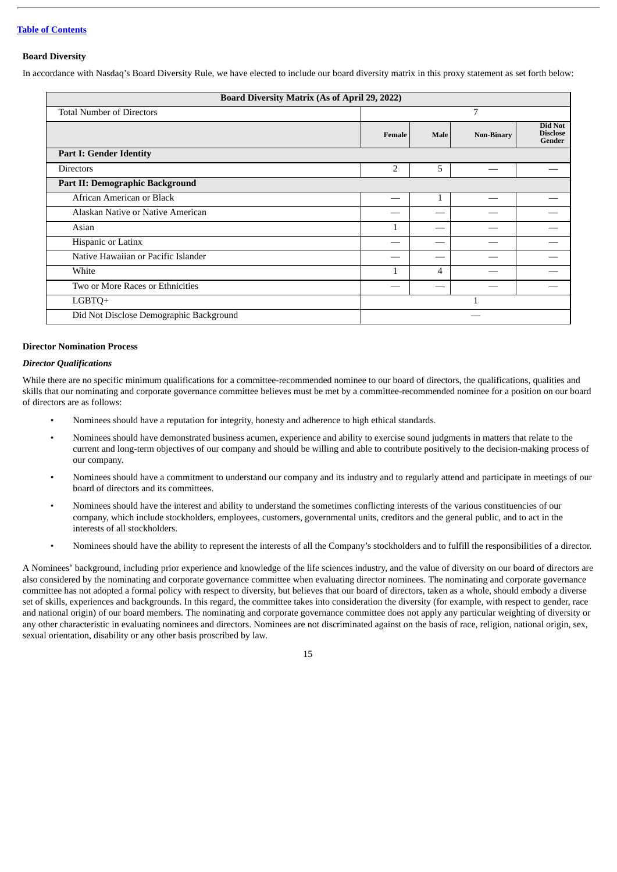#### <span id="page-18-0"></span>**Board Diversity**

In accordance with Nasdaq's Board Diversity Rule, we have elected to include our board diversity matrix in this proxy statement as set forth below:

| <b>Board Diversity Matrix (As of April 29, 2022)</b> |                |      |                   |                                      |  |
|------------------------------------------------------|----------------|------|-------------------|--------------------------------------|--|
| <b>Total Number of Directors</b>                     |                |      | 7                 |                                      |  |
|                                                      | Female         | Male | <b>Non-Binary</b> | Did Not<br><b>Disclose</b><br>Gender |  |
| <b>Part I: Gender Identity</b>                       |                |      |                   |                                      |  |
| <b>Directors</b>                                     | $\overline{2}$ | 5    |                   |                                      |  |
| Part II: Demographic Background                      |                |      |                   |                                      |  |
| African American or Black                            |                | 1    |                   |                                      |  |
| Alaskan Native or Native American                    |                |      |                   |                                      |  |
| Asian                                                | 1              |      |                   |                                      |  |
| Hispanic or Latinx                                   |                |      |                   |                                      |  |
| Native Hawaiian or Pacific Islander                  |                |      |                   |                                      |  |
| White                                                |                | 4    |                   |                                      |  |
| Two or More Races or Ethnicities                     |                |      |                   |                                      |  |
| LGBTQ+                                               |                |      |                   |                                      |  |
| Did Not Disclose Demographic Background              |                |      |                   |                                      |  |

#### <span id="page-18-1"></span>**Director Nomination Process**

#### *Director Qualifications*

While there are no specific minimum qualifications for a committee-recommended nominee to our board of directors, the qualifications, qualities and skills that our nominating and corporate governance committee believes must be met by a committee-recommended nominee for a position on our board of directors are as follows:

- Nominees should have a reputation for integrity, honesty and adherence to high ethical standards.
- Nominees should have demonstrated business acumen, experience and ability to exercise sound judgments in matters that relate to the current and long-term objectives of our company and should be willing and able to contribute positively to the decision-making process of our company.
- Nominees should have a commitment to understand our company and its industry and to regularly attend and participate in meetings of our board of directors and its committees.
- Nominees should have the interest and ability to understand the sometimes conflicting interests of the various constituencies of our company, which include stockholders, employees, customers, governmental units, creditors and the general public, and to act in the interests of all stockholders.
- Nominees should have the ability to represent the interests of all the Company's stockholders and to fulfill the responsibilities of a director.

A Nominees' background, including prior experience and knowledge of the life sciences industry, and the value of diversity on our board of directors are also considered by the nominating and corporate governance committee when evaluating director nominees. The nominating and corporate governance committee has not adopted a formal policy with respect to diversity, but believes that our board of directors, taken as a whole, should embody a diverse set of skills, experiences and backgrounds. In this regard, the committee takes into consideration the diversity (for example, with respect to gender, race and national origin) of our board members. The nominating and corporate governance committee does not apply any particular weighting of diversity or any other characteristic in evaluating nominees and directors. Nominees are not discriminated against on the basis of race, religion, national origin, sex, sexual orientation, disability or any other basis proscribed by law.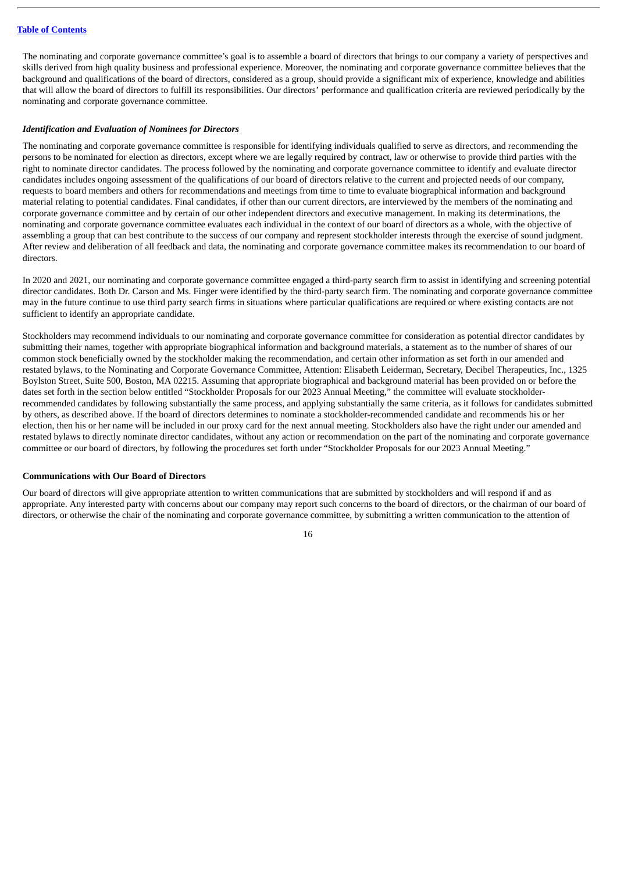The nominating and corporate governance committee's goal is to assemble a board of directors that brings to our company a variety of perspectives and skills derived from high quality business and professional experience. Moreover, the nominating and corporate governance committee believes that the background and qualifications of the board of directors, considered as a group, should provide a significant mix of experience, knowledge and abilities that will allow the board of directors to fulfill its responsibilities. Our directors' performance and qualification criteria are reviewed periodically by the nominating and corporate governance committee.

#### *Identification and Evaluation of Nominees for Directors*

The nominating and corporate governance committee is responsible for identifying individuals qualified to serve as directors, and recommending the persons to be nominated for election as directors, except where we are legally required by contract, law or otherwise to provide third parties with the right to nominate director candidates. The process followed by the nominating and corporate governance committee to identify and evaluate director candidates includes ongoing assessment of the qualifications of our board of directors relative to the current and projected needs of our company, requests to board members and others for recommendations and meetings from time to time to evaluate biographical information and background material relating to potential candidates. Final candidates, if other than our current directors, are interviewed by the members of the nominating and corporate governance committee and by certain of our other independent directors and executive management. In making its determinations, the nominating and corporate governance committee evaluates each individual in the context of our board of directors as a whole, with the objective of assembling a group that can best contribute to the success of our company and represent stockholder interests through the exercise of sound judgment. After review and deliberation of all feedback and data, the nominating and corporate governance committee makes its recommendation to our board of directors.

In 2020 and 2021, our nominating and corporate governance committee engaged a third-party search firm to assist in identifying and screening potential director candidates. Both Dr. Carson and Ms. Finger were identified by the third-party search firm. The nominating and corporate governance committee may in the future continue to use third party search firms in situations where particular qualifications are required or where existing contacts are not sufficient to identify an appropriate candidate.

Stockholders may recommend individuals to our nominating and corporate governance committee for consideration as potential director candidates by submitting their names, together with appropriate biographical information and background materials, a statement as to the number of shares of our common stock beneficially owned by the stockholder making the recommendation, and certain other information as set forth in our amended and restated bylaws, to the Nominating and Corporate Governance Committee, Attention: Elisabeth Leiderman, Secretary, Decibel Therapeutics, Inc., 1325 Boylston Street, Suite 500, Boston, MA 02215. Assuming that appropriate biographical and background material has been provided on or before the dates set forth in the section below entitled "Stockholder Proposals for our 2023 Annual Meeting," the committee will evaluate stockholderrecommended candidates by following substantially the same process, and applying substantially the same criteria, as it follows for candidates submitted by others, as described above. If the board of directors determines to nominate a stockholder-recommended candidate and recommends his or her election, then his or her name will be included in our proxy card for the next annual meeting. Stockholders also have the right under our amended and restated bylaws to directly nominate director candidates, without any action or recommendation on the part of the nominating and corporate governance committee or our board of directors, by following the procedures set forth under "Stockholder Proposals for our 2023 Annual Meeting."

#### <span id="page-19-0"></span>**Communications with Our Board of Directors**

Our board of directors will give appropriate attention to written communications that are submitted by stockholders and will respond if and as appropriate. Any interested party with concerns about our company may report such concerns to the board of directors, or the chairman of our board of directors, or otherwise the chair of the nominating and corporate governance committee, by submitting a written communication to the attention of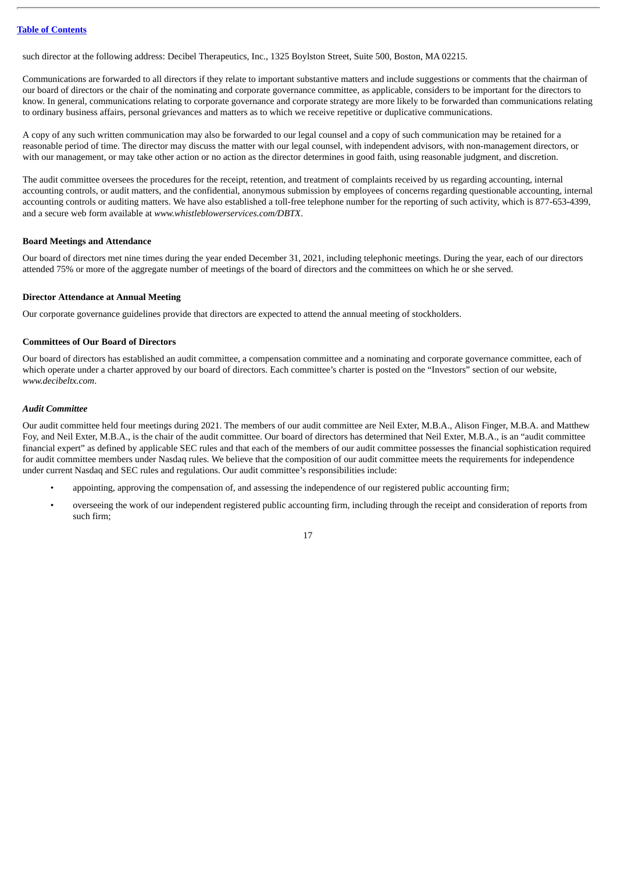such director at the following address: Decibel Therapeutics, Inc., 1325 Boylston Street, Suite 500, Boston, MA 02215.

Communications are forwarded to all directors if they relate to important substantive matters and include suggestions or comments that the chairman of our board of directors or the chair of the nominating and corporate governance committee, as applicable, considers to be important for the directors to know. In general, communications relating to corporate governance and corporate strategy are more likely to be forwarded than communications relating to ordinary business affairs, personal grievances and matters as to which we receive repetitive or duplicative communications.

A copy of any such written communication may also be forwarded to our legal counsel and a copy of such communication may be retained for a reasonable period of time. The director may discuss the matter with our legal counsel, with independent advisors, with non-management directors, or with our management, or may take other action or no action as the director determines in good faith, using reasonable judgment, and discretion.

The audit committee oversees the procedures for the receipt, retention, and treatment of complaints received by us regarding accounting, internal accounting controls, or audit matters, and the confidential, anonymous submission by employees of concerns regarding questionable accounting, internal accounting controls or auditing matters. We have also established a toll-free telephone number for the reporting of such activity, which is 877-653-4399, and a secure web form available at *www.whistleblowerservices.com/DBTX*.

#### <span id="page-20-0"></span>**Board Meetings and Attendance**

Our board of directors met nine times during the year ended December 31, 2021, including telephonic meetings. During the year, each of our directors attended 75% or more of the aggregate number of meetings of the board of directors and the committees on which he or she served.

#### <span id="page-20-1"></span>**Director Attendance at Annual Meeting**

Our corporate governance guidelines provide that directors are expected to attend the annual meeting of stockholders.

#### <span id="page-20-2"></span>**Committees of Our Board of Directors**

Our board of directors has established an audit committee, a compensation committee and a nominating and corporate governance committee, each of which operate under a charter approved by our board of directors. Each committee's charter is posted on the "Investors" section of our website, *www.decibeltx.com*.

#### *Audit Committee*

Our audit committee held four meetings during 2021. The members of our audit committee are Neil Exter, M.B.A., Alison Finger, M.B.A. and Matthew Foy, and Neil Exter, M.B.A., is the chair of the audit committee. Our board of directors has determined that Neil Exter, M.B.A., is an "audit committee financial expert" as defined by applicable SEC rules and that each of the members of our audit committee possesses the financial sophistication required for audit committee members under Nasdaq rules. We believe that the composition of our audit committee meets the requirements for independence under current Nasdaq and SEC rules and regulations. Our audit committee's responsibilities include:

- appointing, approving the compensation of, and assessing the independence of our registered public accounting firm;
- overseeing the work of our independent registered public accounting firm, including through the receipt and consideration of reports from such firm;

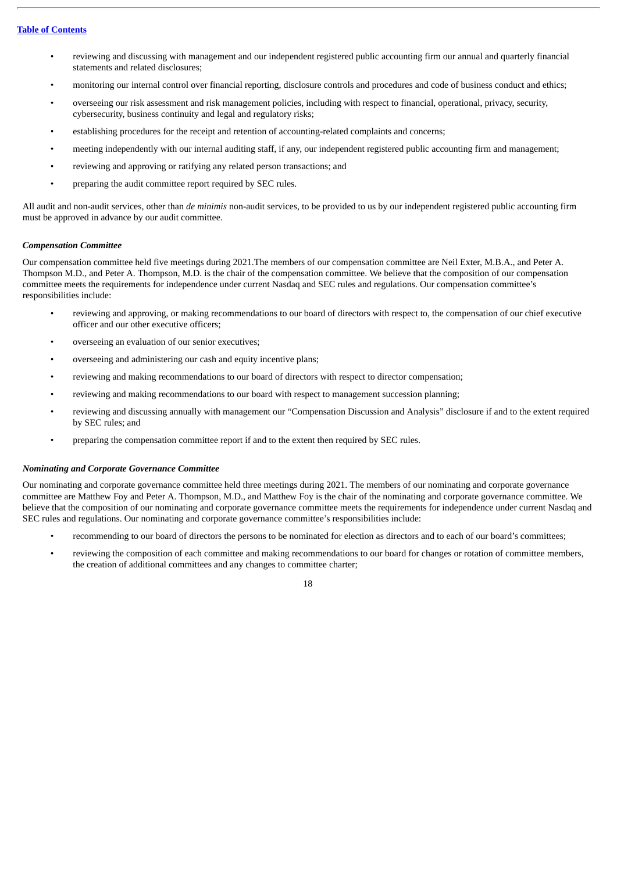- reviewing and discussing with management and our independent registered public accounting firm our annual and quarterly financial statements and related disclosures;
- monitoring our internal control over financial reporting, disclosure controls and procedures and code of business conduct and ethics;
- overseeing our risk assessment and risk management policies, including with respect to financial, operational, privacy, security, cybersecurity, business continuity and legal and regulatory risks;
- establishing procedures for the receipt and retention of accounting-related complaints and concerns;
- meeting independently with our internal auditing staff, if any, our independent registered public accounting firm and management;
- reviewing and approving or ratifying any related person transactions; and
- preparing the audit committee report required by SEC rules.

All audit and non-audit services, other than *de minimis* non-audit services, to be provided to us by our independent registered public accounting firm must be approved in advance by our audit committee.

#### *Compensation Committee*

Our compensation committee held five meetings during 2021.The members of our compensation committee are Neil Exter, M.B.A., and Peter A. Thompson M.D., and Peter A. Thompson, M.D. is the chair of the compensation committee. We believe that the composition of our compensation committee meets the requirements for independence under current Nasdaq and SEC rules and regulations. Our compensation committee's responsibilities include:

- reviewing and approving, or making recommendations to our board of directors with respect to, the compensation of our chief executive officer and our other executive officers;
- overseeing an evaluation of our senior executives;
- overseeing and administering our cash and equity incentive plans;
- reviewing and making recommendations to our board of directors with respect to director compensation;
- reviewing and making recommendations to our board with respect to management succession planning;
- reviewing and discussing annually with management our "Compensation Discussion and Analysis" disclosure if and to the extent required by SEC rules; and
- preparing the compensation committee report if and to the extent then required by SEC rules.

#### *Nominating and Corporate Governance Committee*

Our nominating and corporate governance committee held three meetings during 2021. The members of our nominating and corporate governance committee are Matthew Foy and Peter A. Thompson, M.D., and Matthew Foy is the chair of the nominating and corporate governance committee. We believe that the composition of our nominating and corporate governance committee meets the requirements for independence under current Nasdaq and SEC rules and regulations. Our nominating and corporate governance committee's responsibilities include:

- recommending to our board of directors the persons to be nominated for election as directors and to each of our board's committees;
- reviewing the composition of each committee and making recommendations to our board for changes or rotation of committee members, the creation of additional committees and any changes to committee charter;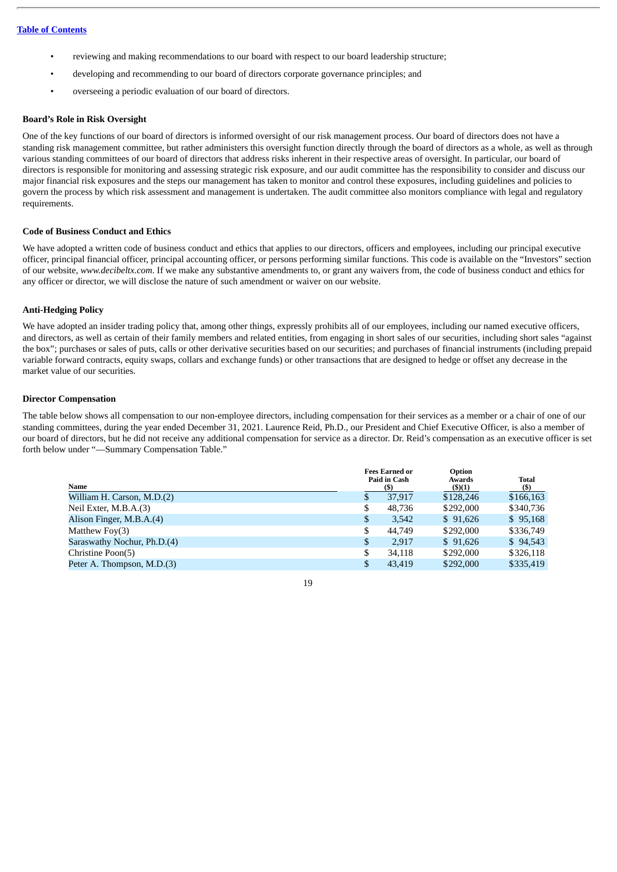- reviewing and making recommendations to our board with respect to our board leadership structure;
- developing and recommending to our board of directors corporate governance principles; and
- overseeing a periodic evaluation of our board of directors.

#### <span id="page-22-0"></span>**Board's Role in Risk Oversight**

One of the key functions of our board of directors is informed oversight of our risk management process. Our board of directors does not have a standing risk management committee, but rather administers this oversight function directly through the board of directors as a whole, as well as through various standing committees of our board of directors that address risks inherent in their respective areas of oversight. In particular, our board of directors is responsible for monitoring and assessing strategic risk exposure, and our audit committee has the responsibility to consider and discuss our major financial risk exposures and the steps our management has taken to monitor and control these exposures, including guidelines and policies to govern the process by which risk assessment and management is undertaken. The audit committee also monitors compliance with legal and regulatory requirements.

#### <span id="page-22-1"></span>**Code of Business Conduct and Ethics**

We have adopted a written code of business conduct and ethics that applies to our directors, officers and employees, including our principal executive officer, principal financial officer, principal accounting officer, or persons performing similar functions. This code is available on the "Investors" section of our website, *www.decibeltx.com*. If we make any substantive amendments to, or grant any waivers from, the code of business conduct and ethics for any officer or director, we will disclose the nature of such amendment or waiver on our website.

#### <span id="page-22-2"></span>**Anti-Hedging Policy**

We have adopted an insider trading policy that, among other things, expressly prohibits all of our employees, including our named executive officers, and directors, as well as certain of their family members and related entities, from engaging in short sales of our securities, including short sales "against the box"; purchases or sales of puts, calls or other derivative securities based on our securities; and purchases of financial instruments (including prepaid variable forward contracts, equity swaps, collars and exchange funds) or other transactions that are designed to hedge or offset any decrease in the market value of our securities.

#### <span id="page-22-3"></span>**Director Compensation**

The table below shows all compensation to our non-employee directors, including compensation for their services as a member or a chair of one of our standing committees, during the year ended December 31, 2021. Laurence Reid, Ph.D., our President and Chief Executive Officer, is also a member of our board of directors, but he did not receive any additional compensation for service as a director. Dr. Reid's compensation as an executive officer is set forth below under "—Summary Compensation Table."

|    |        | Option<br>Awards                                    | <b>Total</b><br>(S) |
|----|--------|-----------------------------------------------------|---------------------|
| \$ | 37.917 | \$128,246                                           | \$166,163           |
| \$ | 48,736 | \$292,000                                           | \$340,736           |
| \$ | 3,542  | \$91,626                                            | \$95,168            |
| \$ | 44,749 | \$292,000                                           | \$336,749           |
| \$ | 2.917  | \$91,626                                            | \$94,543            |
| \$ | 34.118 | \$292,000                                           | \$326,118           |
| S  | 43.419 | \$292,000                                           | \$335,419           |
|    |        | <b>Fees Earned or</b><br><b>Paid in Cash</b><br>(S) | $($ \$ $)(1)$       |

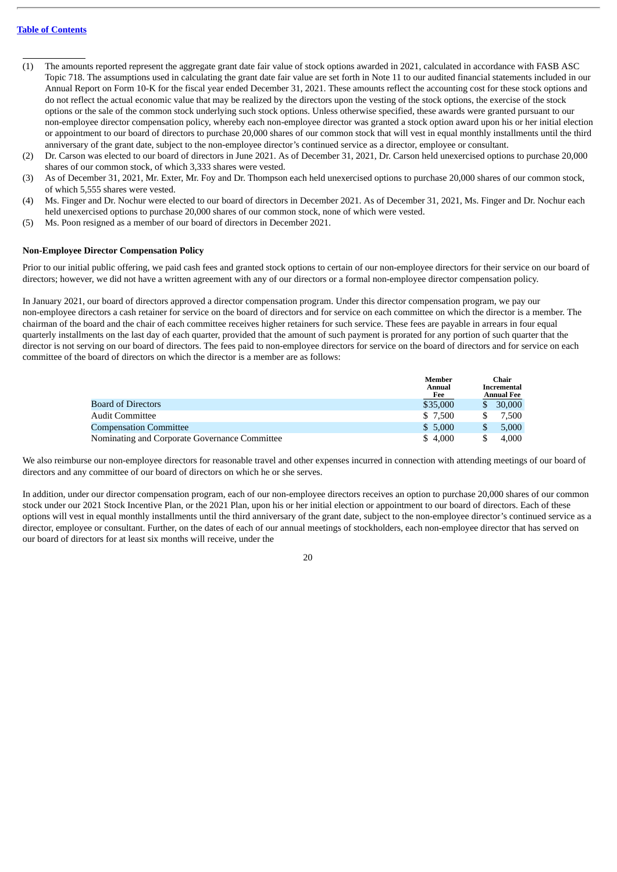- (1) The amounts reported represent the aggregate grant date fair value of stock options awarded in 2021, calculated in accordance with FASB ASC Topic 718. The assumptions used in calculating the grant date fair value are set forth in Note 11 to our audited financial statements included in our Annual Report on Form 10-K for the fiscal year ended December 31, 2021. These amounts reflect the accounting cost for these stock options and do not reflect the actual economic value that may be realized by the directors upon the vesting of the stock options, the exercise of the stock options or the sale of the common stock underlying such stock options. Unless otherwise specified, these awards were granted pursuant to our non-employee director compensation policy, whereby each non-employee director was granted a stock option award upon his or her initial election or appointment to our board of directors to purchase 20,000 shares of our common stock that will vest in equal monthly installments until the third anniversary of the grant date, subject to the non-employee director's continued service as a director, employee or consultant.
- (2) Dr. Carson was elected to our board of directors in June 2021. As of December 31, 2021, Dr. Carson held unexercised options to purchase 20,000 shares of our common stock, of which 3,333 shares were vested.
- (3) As of December 31, 2021, Mr. Exter, Mr. Foy and Dr. Thompson each held unexercised options to purchase 20,000 shares of our common stock, of which 5,555 shares were vested.
- (4) Ms. Finger and Dr. Nochur were elected to our board of directors in December 2021. As of December 31, 2021, Ms. Finger and Dr. Nochur each held unexercised options to purchase 20,000 shares of our common stock, none of which were vested.
- (5) Ms. Poon resigned as a member of our board of directors in December 2021.

#### <span id="page-23-0"></span>**Non-Employee Director Compensation Policy**

Prior to our initial public offering, we paid cash fees and granted stock options to certain of our non-employee directors for their service on our board of directors; however, we did not have a written agreement with any of our directors or a formal non-employee director compensation policy.

In January 2021, our board of directors approved a director compensation program. Under this director compensation program, we pay our non-employee directors a cash retainer for service on the board of directors and for service on each committee on which the director is a member. The chairman of the board and the chair of each committee receives higher retainers for such service. These fees are payable in arrears in four equal quarterly installments on the last day of each quarter, provided that the amount of such payment is prorated for any portion of such quarter that the director is not serving on our board of directors. The fees paid to non-employee directors for service on the board of directors and for service on each committee of the board of directors on which the director is a member are as follows:

|                                               | Member<br>Annual<br>Fee |   | Chair<br>Incremental<br>Annual Fee |
|-----------------------------------------------|-------------------------|---|------------------------------------|
| <b>Board of Directors</b>                     | \$35,000                | S | 30,000                             |
| <b>Audit Committee</b>                        | \$7,500                 |   | 7.500                              |
| <b>Compensation Committee</b>                 | \$5,000                 |   | 5.000                              |
| Nominating and Corporate Governance Committee | \$4.000                 |   | 4.000                              |

We also reimburse our non-employee directors for reasonable travel and other expenses incurred in connection with attending meetings of our board of directors and any committee of our board of directors on which he or she serves.

In addition, under our director compensation program, each of our non-employee directors receives an option to purchase 20,000 shares of our common stock under our 2021 Stock Incentive Plan, or the 2021 Plan, upon his or her initial election or appointment to our board of directors. Each of these options will vest in equal monthly installments until the third anniversary of the grant date, subject to the non-employee director's continued service as a director, employee or consultant. Further, on the dates of each of our annual meetings of stockholders, each non-employee director that has served on our board of directors for at least six months will receive, under the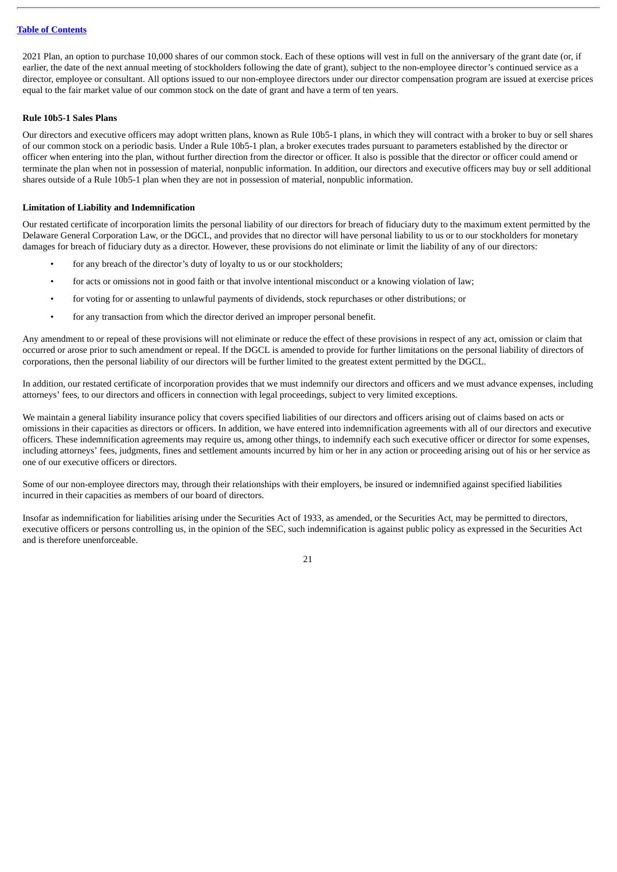2021 Plan, an option to purchase 10,000 shares of our common stock. Each of these options will vest in full on the anniversary of the grant date (or, if earlier, the date of the next annual meeting of stockholders following the date of grant), subject to the non-employee director's continued service as a director, employee or consultant. All options issued to our non-employee directors under our director compensation program are issued at exercise prices equal to the fair market value of our common stock on the date of grant and have a term of ten years.

# <span id="page-24-0"></span>**Rule 10b5-1 Sales Plans**

Our directors and executive officers may adopt written plans, known as Rule 10b5-1 plans, in which they will contract with a broker to buy or sell shares of our common stock on a periodic basis. Under a Rule 10b5-1 plan, a broker executes trades pursuant to parameters established by the director or officer when entering into the plan, without further direction from the director or officer. It also is possible that the director or officer could amend or terminate the plan when not in possession of material, nonpublic information. In addition, our directors and executive officers may buy or sell additional shares outside of a Rule 10b5-1 plan when they are not in possession of material, nonpublic information.

#### <span id="page-24-1"></span>**Limitation of Liability and Indemnification**

Our restated certificate of incorporation limits the personal liability of our directors for breach of fiduciary duty to the maximum extent permitted by the Delaware General Corporation Law, or the DGCL, and provides that no director will have personal liability to us or to our stockholders for monetary damages for breach of fiduciary duty as a director. However, these provisions do not eliminate or limit the liability of any of our directors:

- for any breach of the director's duty of loyalty to us or our stockholders;
- for acts or omissions not in good faith or that involve intentional misconduct or a knowing violation of law;
- for voting for or assenting to unlawful payments of dividends, stock repurchases or other distributions; or
- for any transaction from which the director derived an improper personal benefit.

Any amendment to or repeal of these provisions will not eliminate or reduce the effect of these provisions in respect of any act, omission or claim that occurred or arose prior to such amendment or repeal. If the DGCL is amended to provide for further limitations on the personal liability of directors of corporations, then the personal liability of our directors will be further limited to the greatest extent permitted by the DGCL.

In addition, our restated certificate of incorporation provides that we must indemnify our directors and officers and we must advance expenses, including attorneys' fees, to our directors and officers in connection with legal proceedings, subject to very limited exceptions.

We maintain a general liability insurance policy that covers specified liabilities of our directors and officers arising out of claims based on acts or omissions in their capacities as directors or officers. In addition, we have entered into indemnification agreements with all of our directors and executive officers. These indemnification agreements may require us, among other things, to indemnify each such executive officer or director for some expenses, including attorneys' fees, judgments, fines and settlement amounts incurred by him or her in any action or proceeding arising out of his or her service as one of our executive officers or directors.

Some of our non-employee directors may, through their relationships with their employers, be insured or indemnified against specified liabilities incurred in their capacities as members of our board of directors.

Insofar as indemnification for liabilities arising under the Securities Act of 1933, as amended, or the Securities Act, may be permitted to directors, executive officers or persons controlling us, in the opinion of the SEC, such indemnification is against public policy as expressed in the Securities Act and is therefore unenforceable.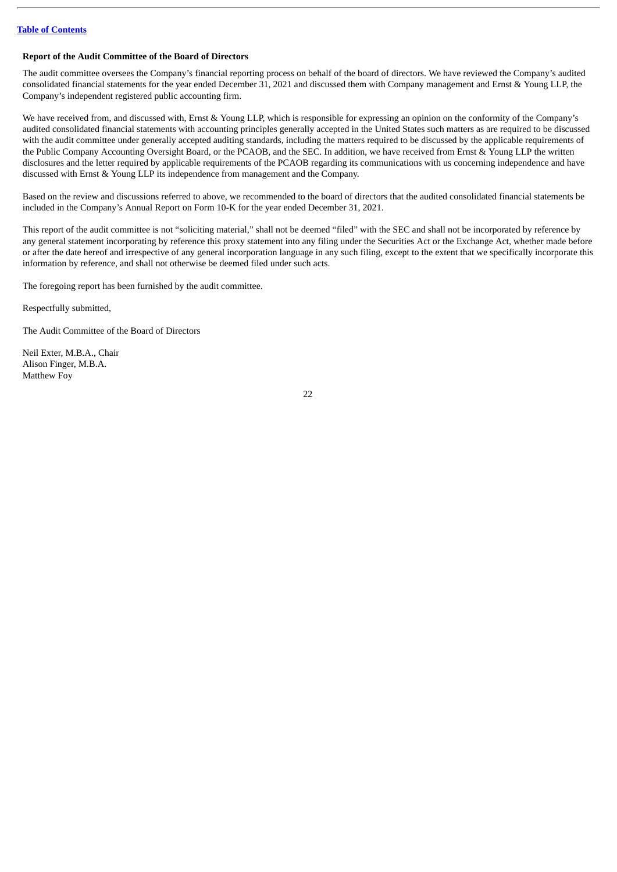# <span id="page-25-0"></span>**Report of the Audit Committee of the Board of Directors**

The audit committee oversees the Company's financial reporting process on behalf of the board of directors. We have reviewed the Company's audited consolidated financial statements for the year ended December 31, 2021 and discussed them with Company management and Ernst & Young LLP, the Company's independent registered public accounting firm.

We have received from, and discussed with, Ernst & Young LLP, which is responsible for expressing an opinion on the conformity of the Company's audited consolidated financial statements with accounting principles generally accepted in the United States such matters as are required to be discussed with the audit committee under generally accepted auditing standards, including the matters required to be discussed by the applicable requirements of the Public Company Accounting Oversight Board, or the PCAOB, and the SEC. In addition, we have received from Ernst & Young LLP the written disclosures and the letter required by applicable requirements of the PCAOB regarding its communications with us concerning independence and have discussed with Ernst & Young LLP its independence from management and the Company.

Based on the review and discussions referred to above, we recommended to the board of directors that the audited consolidated financial statements be included in the Company's Annual Report on Form 10-K for the year ended December 31, 2021.

This report of the audit committee is not "soliciting material," shall not be deemed "filed" with the SEC and shall not be incorporated by reference by any general statement incorporating by reference this proxy statement into any filing under the Securities Act or the Exchange Act, whether made before or after the date hereof and irrespective of any general incorporation language in any such filing, except to the extent that we specifically incorporate this information by reference, and shall not otherwise be deemed filed under such acts.

The foregoing report has been furnished by the audit committee.

Respectfully submitted,

The Audit Committee of the Board of Directors

Neil Exter, M.B.A., Chair Alison Finger, M.B.A. Matthew Foy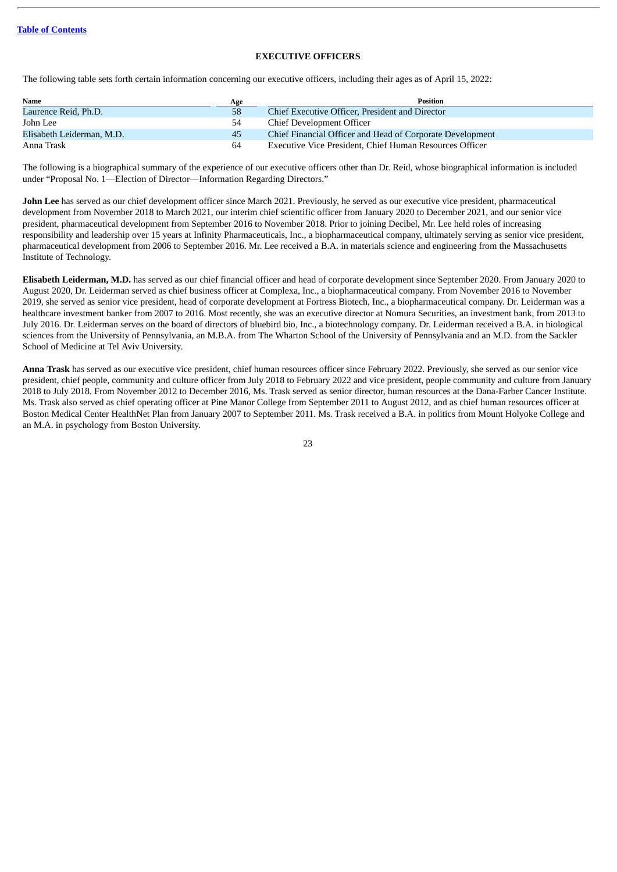# **EXECUTIVE OFFICERS**

<span id="page-26-0"></span>The following table sets forth certain information concerning our executive officers, including their ages as of April 15, 2022:

| Name                      | Age | <b>Position</b>                                           |
|---------------------------|-----|-----------------------------------------------------------|
| Laurence Reid, Ph.D.      | 58  | Chief Executive Officer, President and Director           |
| John Lee                  |     | Chief Development Officer                                 |
| Elisabeth Leiderman, M.D. | 45  | Chief Financial Officer and Head of Corporate Development |
| Anna Trask                | 64  | Executive Vice President, Chief Human Resources Officer   |

The following is a biographical summary of the experience of our executive officers other than Dr. Reid, whose biographical information is included under "Proposal No. 1—Election of Director—Information Regarding Directors."

**John Lee** has served as our chief development officer since March 2021. Previously, he served as our executive vice president, pharmaceutical development from November 2018 to March 2021, our interim chief scientific officer from January 2020 to December 2021, and our senior vice president, pharmaceutical development from September 2016 to November 2018. Prior to joining Decibel, Mr. Lee held roles of increasing responsibility and leadership over 15 years at Infinity Pharmaceuticals, Inc., a biopharmaceutical company, ultimately serving as senior vice president, pharmaceutical development from 2006 to September 2016. Mr. Lee received a B.A. in materials science and engineering from the Massachusetts Institute of Technology.

**Elisabeth Leiderman, M.D.** has served as our chief financial officer and head of corporate development since September 2020. From January 2020 to August 2020, Dr. Leiderman served as chief business officer at Complexa, Inc., a biopharmaceutical company. From November 2016 to November 2019, she served as senior vice president, head of corporate development at Fortress Biotech, Inc., a biopharmaceutical company. Dr. Leiderman was a healthcare investment banker from 2007 to 2016. Most recently, she was an executive director at Nomura Securities, an investment bank, from 2013 to July 2016. Dr. Leiderman serves on the board of directors of bluebird bio, Inc., a biotechnology company. Dr. Leiderman received a B.A. in biological sciences from the University of Pennsylvania, an M.B.A. from The Wharton School of the University of Pennsylvania and an M.D. from the Sackler School of Medicine at Tel Aviv University.

**Anna Trask** has served as our executive vice president, chief human resources officer since February 2022. Previously, she served as our senior vice president, chief people, community and culture officer from July 2018 to February 2022 and vice president, people community and culture from January 2018 to July 2018. From November 2012 to December 2016, Ms. Trask served as senior director, human resources at the Dana-Farber Cancer Institute. Ms. Trask also served as chief operating officer at Pine Manor College from September 2011 to August 2012, and as chief human resources officer at Boston Medical Center HealthNet Plan from January 2007 to September 2011. Ms. Trask received a B.A. in politics from Mount Holyoke College and an M.A. in psychology from Boston University.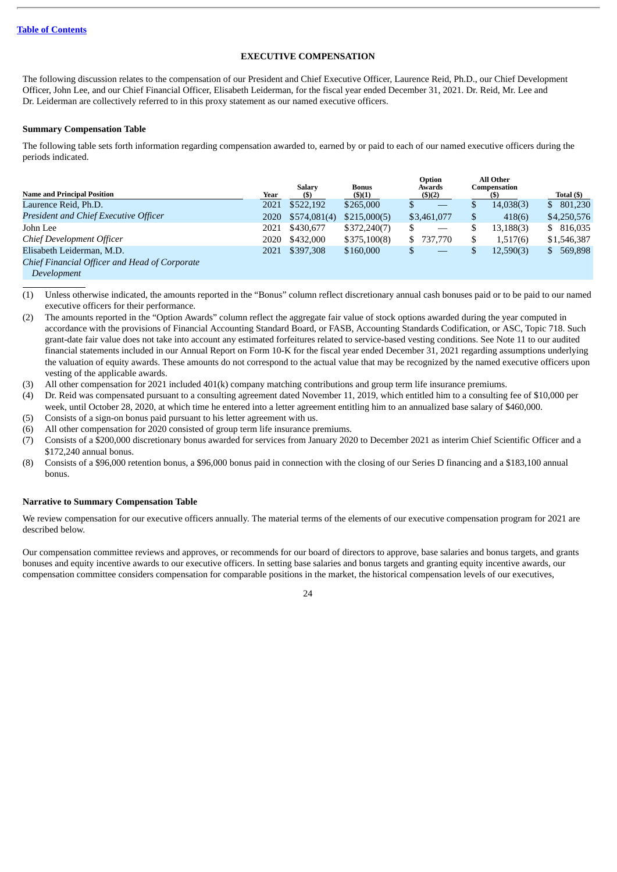# **EXECUTIVE COMPENSATION**

<span id="page-27-0"></span>The following discussion relates to the compensation of our President and Chief Executive Officer, Laurence Reid, Ph.D., our Chief Development Officer, John Lee, and our Chief Financial Officer, Elisabeth Leiderman, for the fiscal year ended December 31, 2021. Dr. Reid, Mr. Lee and Dr. Leiderman are collectively referred to in this proxy statement as our named executive officers.

# <span id="page-27-1"></span>**Summary Compensation Table**

The following table sets forth information regarding compensation awarded to, earned by or paid to each of our named executive officers during the periods indicated.

| <b>Name and Principal Position</b>            | Year | <b>Salary</b><br><b>(\$)</b> | <b>Bonus</b><br>$($ \$ $)(1)$ | Option<br>Awards<br>(3)(2) | All Other<br>Compensation | Total (\$)     |
|-----------------------------------------------|------|------------------------------|-------------------------------|----------------------------|---------------------------|----------------|
| Laurence Reid, Ph.D.                          | 2021 | \$522,192                    | \$265,000                     |                            | 14,038(3)                 | 801,230<br>\$. |
| President and Chief Executive Officer         | 2020 | \$574,081(4)                 | \$215,000(5)                  | \$3,461,077                | 418(6)                    | \$4,250,576    |
| John Lee                                      | 2021 | \$430,677                    | \$372,240(7)                  |                            | 13,188(3)                 | \$ 816,035     |
| Chief Development Officer                     | 2020 | \$432,000                    | \$375,100(8)                  | 737,770<br>S.              | 1,517(6)                  | \$1,546,387    |
| Elisabeth Leiderman, M.D.                     | 2021 | \$397,308                    | \$160,000                     |                            | 12,590(3)                 | \$ 569,898     |
| Chief Financial Officer and Head of Corporate |      |                              |                               |                            |                           |                |
| $D$ <sub>aval</sub> onmar <sup>t</sup>        |      |                              |                               |                            |                           |                |

*Development*

(1) Unless otherwise indicated, the amounts reported in the "Bonus" column reflect discretionary annual cash bonuses paid or to be paid to our named executive officers for their performance.

- (2) The amounts reported in the "Option Awards" column reflect the aggregate fair value of stock options awarded during the year computed in accordance with the provisions of Financial Accounting Standard Board, or FASB, Accounting Standards Codification, or ASC, Topic 718. Such grant-date fair value does not take into account any estimated forfeitures related to service-based vesting conditions. See Note 11 to our audited financial statements included in our Annual Report on Form 10-K for the fiscal year ended December 31, 2021 regarding assumptions underlying the valuation of equity awards. These amounts do not correspond to the actual value that may be recognized by the named executive officers upon vesting of the applicable awards.
- (3) All other compensation for 2021 included 401(k) company matching contributions and group term life insurance premiums.

(4) Dr. Reid was compensated pursuant to a consulting agreement dated November 11, 2019, which entitled him to a consulting fee of \$10,000 per week, until October 28, 2020, at which time he entered into a letter agreement entitling him to an annualized base salary of \$460,000.

(5) Consists of a sign-on bonus paid pursuant to his letter agreement with us.

- (6) All other compensation for 2020 consisted of group term life insurance premiums.
- (7) Consists of a \$200,000 discretionary bonus awarded for services from January 2020 to December 2021 as interim Chief Scientific Officer and a \$172,240 annual bonus.
- (8) Consists of a \$96,000 retention bonus, a \$96,000 bonus paid in connection with the closing of our Series D financing and a \$183,100 annual bonus.

# <span id="page-27-2"></span>**Narrative to Summary Compensation Table**

We review compensation for our executive officers annually. The material terms of the elements of our executive compensation program for 2021 are described below.

Our compensation committee reviews and approves, or recommends for our board of directors to approve, base salaries and bonus targets, and grants bonuses and equity incentive awards to our executive officers. In setting base salaries and bonus targets and granting equity incentive awards, our compensation committee considers compensation for comparable positions in the market, the historical compensation levels of our executives,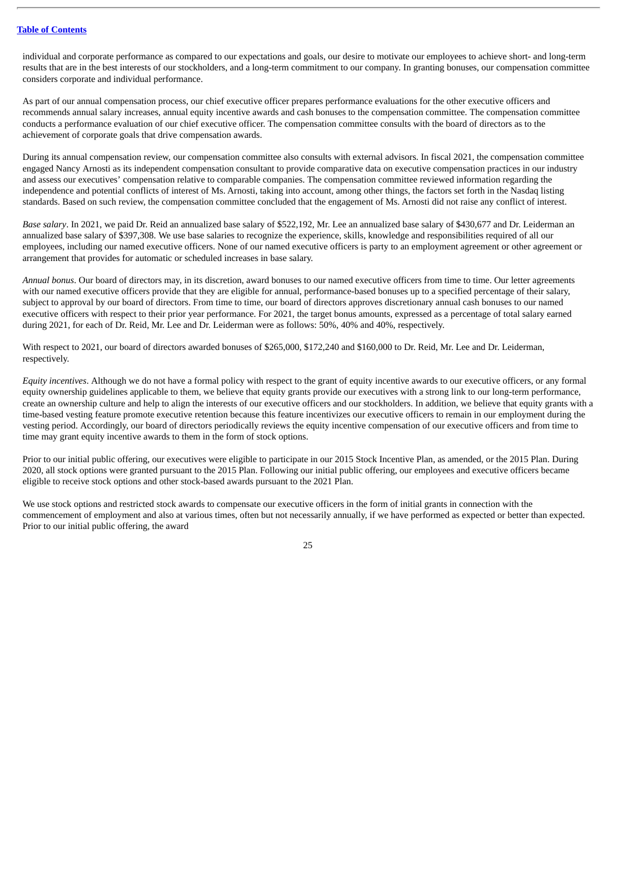individual and corporate performance as compared to our expectations and goals, our desire to motivate our employees to achieve short- and long-term results that are in the best interests of our stockholders, and a long-term commitment to our company. In granting bonuses, our compensation committee considers corporate and individual performance.

As part of our annual compensation process, our chief executive officer prepares performance evaluations for the other executive officers and recommends annual salary increases, annual equity incentive awards and cash bonuses to the compensation committee. The compensation committee conducts a performance evaluation of our chief executive officer. The compensation committee consults with the board of directors as to the achievement of corporate goals that drive compensation awards.

During its annual compensation review, our compensation committee also consults with external advisors. In fiscal 2021, the compensation committee engaged Nancy Arnosti as its independent compensation consultant to provide comparative data on executive compensation practices in our industry and assess our executives' compensation relative to comparable companies. The compensation committee reviewed information regarding the independence and potential conflicts of interest of Ms. Arnosti, taking into account, among other things, the factors set forth in the Nasdaq listing standards. Based on such review, the compensation committee concluded that the engagement of Ms. Arnosti did not raise any conflict of interest.

*Base salary*. In 2021, we paid Dr. Reid an annualized base salary of \$522,192, Mr. Lee an annualized base salary of \$430,677 and Dr. Leiderman an annualized base salary of \$397,308. We use base salaries to recognize the experience, skills, knowledge and responsibilities required of all our employees, including our named executive officers. None of our named executive officers is party to an employment agreement or other agreement or arrangement that provides for automatic or scheduled increases in base salary.

*Annual bonus*. Our board of directors may, in its discretion, award bonuses to our named executive officers from time to time. Our letter agreements with our named executive officers provide that they are eligible for annual, performance-based bonuses up to a specified percentage of their salary, subject to approval by our board of directors. From time to time, our board of directors approves discretionary annual cash bonuses to our named executive officers with respect to their prior year performance. For 2021, the target bonus amounts, expressed as a percentage of total salary earned during 2021, for each of Dr. Reid, Mr. Lee and Dr. Leiderman were as follows: 50%, 40% and 40%, respectively.

With respect to 2021, our board of directors awarded bonuses of \$265,000, \$172,240 and \$160,000 to Dr. Reid, Mr. Lee and Dr. Leiderman, respectively.

*Equity incentives*. Although we do not have a formal policy with respect to the grant of equity incentive awards to our executive officers, or any formal equity ownership guidelines applicable to them, we believe that equity grants provide our executives with a strong link to our long-term performance, create an ownership culture and help to align the interests of our executive officers and our stockholders. In addition, we believe that equity grants with a time-based vesting feature promote executive retention because this feature incentivizes our executive officers to remain in our employment during the vesting period. Accordingly, our board of directors periodically reviews the equity incentive compensation of our executive officers and from time to time may grant equity incentive awards to them in the form of stock options.

Prior to our initial public offering, our executives were eligible to participate in our 2015 Stock Incentive Plan, as amended, or the 2015 Plan. During 2020, all stock options were granted pursuant to the 2015 Plan. Following our initial public offering, our employees and executive officers became eligible to receive stock options and other stock-based awards pursuant to the 2021 Plan.

We use stock options and restricted stock awards to compensate our executive officers in the form of initial grants in connection with the commencement of employment and also at various times, often but not necessarily annually, if we have performed as expected or better than expected. Prior to our initial public offering, the award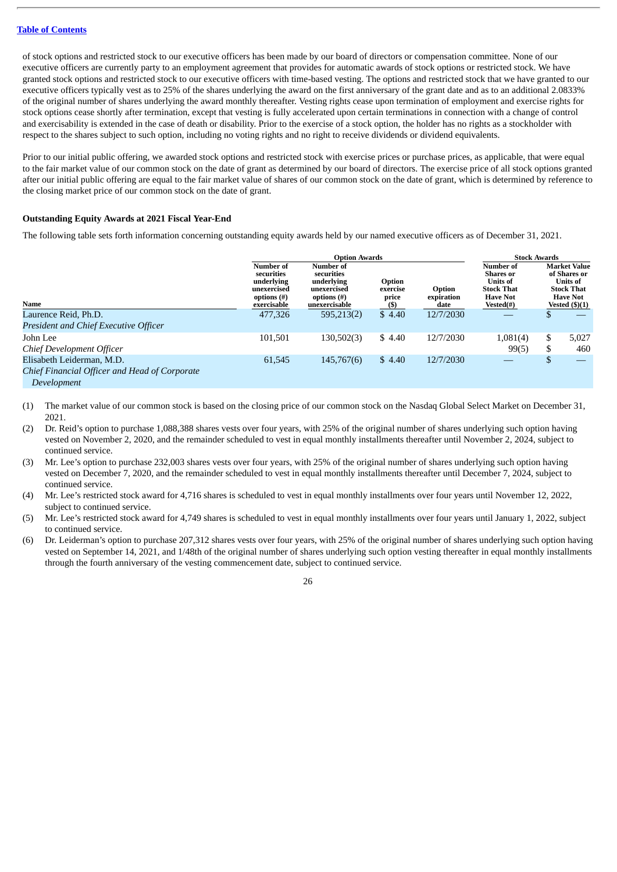of stock options and restricted stock to our executive officers has been made by our board of directors or compensation committee. None of our executive officers are currently party to an employment agreement that provides for automatic awards of stock options or restricted stock. We have granted stock options and restricted stock to our executive officers with time-based vesting. The options and restricted stock that we have granted to our executive officers typically vest as to 25% of the shares underlying the award on the first anniversary of the grant date and as to an additional 2.0833% of the original number of shares underlying the award monthly thereafter. Vesting rights cease upon termination of employment and exercise rights for stock options cease shortly after termination, except that vesting is fully accelerated upon certain terminations in connection with a change of control and exercisability is extended in the case of death or disability. Prior to the exercise of a stock option, the holder has no rights as a stockholder with respect to the shares subject to such option, including no voting rights and no right to receive dividends or dividend equivalents.

Prior to our initial public offering, we awarded stock options and restricted stock with exercise prices or purchase prices, as applicable, that were equal to the fair market value of our common stock on the date of grant as determined by our board of directors. The exercise price of all stock options granted after our initial public offering are equal to the fair market value of shares of our common stock on the date of grant, which is determined by reference to the closing market price of our common stock on the date of grant.

## <span id="page-29-0"></span>**Outstanding Equity Awards at 2021 Fiscal Year-End**

The following table sets forth information concerning outstanding equity awards held by our named executive officers as of December 31, 2021.

|                                                              |                                                                                       | <b>Option Awards</b>                                                                 |                                     |                              |                                                                                                                 | <b>Stock Awards</b> |                                                                                                                    |  |  |
|--------------------------------------------------------------|---------------------------------------------------------------------------------------|--------------------------------------------------------------------------------------|-------------------------------------|------------------------------|-----------------------------------------------------------------------------------------------------------------|---------------------|--------------------------------------------------------------------------------------------------------------------|--|--|
| Name                                                         | Number of<br>securities<br>underlying<br>unexercised<br>options $(\#)$<br>exercisable | Number of<br>securities<br>underlying<br>unexercised<br>options (#)<br>unexercisable | Option<br>exercise<br>price<br>(\$) | Option<br>expiration<br>date | <b>Number of</b><br><b>Shares</b> or<br><b>Units of</b><br><b>Stock That</b><br><b>Have Not</b><br>$Vested(\#)$ |                     | <b>Market Value</b><br>of Shares or<br><b>Units of</b><br><b>Stock That</b><br><b>Have Not</b><br>Vested $(\$)(1)$ |  |  |
| Laurence Reid, Ph.D.                                         | 477,326                                                                               | 595,213(2)                                                                           | \$4.40                              | 12/7/2030                    |                                                                                                                 |                     |                                                                                                                    |  |  |
| President and Chief Executive Officer                        |                                                                                       |                                                                                      |                                     |                              |                                                                                                                 |                     |                                                                                                                    |  |  |
| John Lee<br>Chief Development Officer                        | 101,501                                                                               | 130,502(3)                                                                           | \$4.40                              | 12/7/2030                    | 1,081(4)<br>99(5)                                                                                               | S<br>ъ.             | 5,027<br>460                                                                                                       |  |  |
| Elisabeth Leiderman, M.D.                                    | 61,545                                                                                | 145,767(6)                                                                           | \$4.40                              | 12/7/2030                    |                                                                                                                 |                     |                                                                                                                    |  |  |
| Chief Financial Officer and Head of Corporate<br>Development |                                                                                       |                                                                                      |                                     |                              |                                                                                                                 |                     |                                                                                                                    |  |  |

(1) The market value of our common stock is based on the closing price of our common stock on the Nasdaq Global Select Market on December 31, 2021.

(2) Dr. Reid's option to purchase 1,088,388 shares vests over four years, with 25% of the original number of shares underlying such option having vested on November 2, 2020, and the remainder scheduled to vest in equal monthly installments thereafter until November 2, 2024, subject to continued service.

(3) Mr. Lee's option to purchase 232,003 shares vests over four years, with 25% of the original number of shares underlying such option having vested on December 7, 2020, and the remainder scheduled to vest in equal monthly installments thereafter until December 7, 2024, subject to continued service.

(4) Mr. Lee's restricted stock award for 4,716 shares is scheduled to vest in equal monthly installments over four years until November 12, 2022, subject to continued service.

(5) Mr. Lee's restricted stock award for 4,749 shares is scheduled to vest in equal monthly installments over four years until January 1, 2022, subject to continued service.

(6) Dr. Leiderman's option to purchase 207,312 shares vests over four years, with 25% of the original number of shares underlying such option having vested on September 14, 2021, and 1/48th of the original number of shares underlying such option vesting thereafter in equal monthly installments through the fourth anniversary of the vesting commencement date, subject to continued service.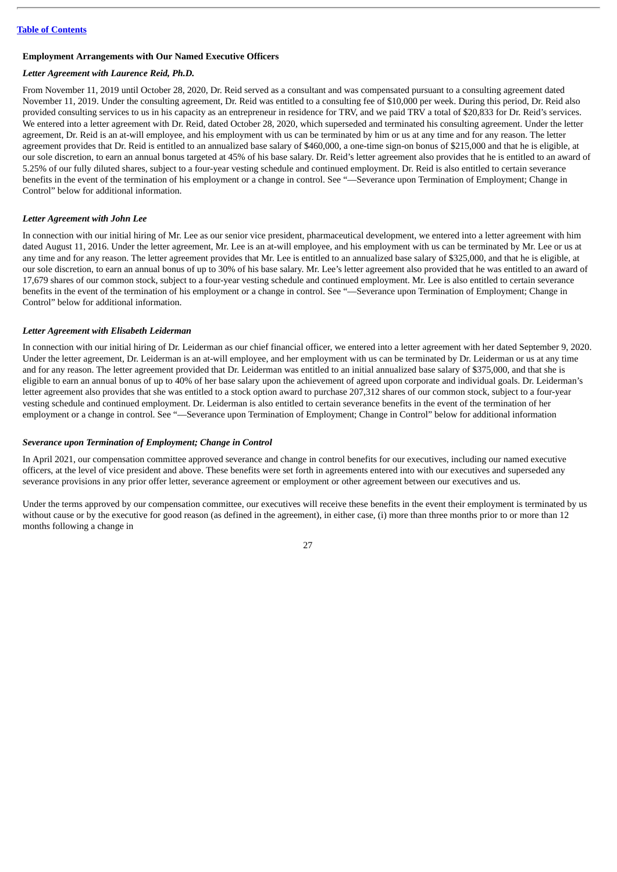# <span id="page-30-0"></span>**Employment Arrangements with Our Named Executive Officers**

# *Letter Agreement with Laurence Reid, Ph.D.*

From November 11, 2019 until October 28, 2020, Dr. Reid served as a consultant and was compensated pursuant to a consulting agreement dated November 11, 2019. Under the consulting agreement, Dr. Reid was entitled to a consulting fee of \$10,000 per week. During this period, Dr. Reid also provided consulting services to us in his capacity as an entrepreneur in residence for TRV, and we paid TRV a total of \$20,833 for Dr. Reid's services. We entered into a letter agreement with Dr. Reid, dated October 28, 2020, which superseded and terminated his consulting agreement. Under the letter agreement, Dr. Reid is an at-will employee, and his employment with us can be terminated by him or us at any time and for any reason. The letter agreement provides that Dr. Reid is entitled to an annualized base salary of \$460,000, a one-time sign-on bonus of \$215,000 and that he is eligible, at our sole discretion, to earn an annual bonus targeted at 45% of his base salary. Dr. Reid's letter agreement also provides that he is entitled to an award of 5.25% of our fully diluted shares, subject to a four-year vesting schedule and continued employment. Dr. Reid is also entitled to certain severance benefits in the event of the termination of his employment or a change in control. See "—Severance upon Termination of Employment; Change in Control" below for additional information.

#### *Letter Agreement with John Lee*

In connection with our initial hiring of Mr. Lee as our senior vice president, pharmaceutical development, we entered into a letter agreement with him dated August 11, 2016. Under the letter agreement, Mr. Lee is an at-will employee, and his employment with us can be terminated by Mr. Lee or us at any time and for any reason. The letter agreement provides that Mr. Lee is entitled to an annualized base salary of \$325,000, and that he is eligible, at our sole discretion, to earn an annual bonus of up to 30% of his base salary. Mr. Lee's letter agreement also provided that he was entitled to an award of 17,679 shares of our common stock, subject to a four-year vesting schedule and continued employment. Mr. Lee is also entitled to certain severance benefits in the event of the termination of his employment or a change in control. See "—Severance upon Termination of Employment; Change in Control" below for additional information.

#### *Letter Agreement with Elisabeth Leiderman*

In connection with our initial hiring of Dr. Leiderman as our chief financial officer, we entered into a letter agreement with her dated September 9, 2020. Under the letter agreement, Dr. Leiderman is an at-will employee, and her employment with us can be terminated by Dr. Leiderman or us at any time and for any reason. The letter agreement provided that Dr. Leiderman was entitled to an initial annualized base salary of \$375,000, and that she is eligible to earn an annual bonus of up to 40% of her base salary upon the achievement of agreed upon corporate and individual goals. Dr. Leiderman's letter agreement also provides that she was entitled to a stock option award to purchase 207,312 shares of our common stock, subject to a four-year vesting schedule and continued employment. Dr. Leiderman is also entitled to certain severance benefits in the event of the termination of her employment or a change in control. See "—Severance upon Termination of Employment; Change in Control" below for additional information

# *Severance upon Termination of Employment; Change in Control*

In April 2021, our compensation committee approved severance and change in control benefits for our executives, including our named executive officers, at the level of vice president and above. These benefits were set forth in agreements entered into with our executives and superseded any severance provisions in any prior offer letter, severance agreement or employment or other agreement between our executives and us.

Under the terms approved by our compensation committee, our executives will receive these benefits in the event their employment is terminated by us without cause or by the executive for good reason (as defined in the agreement), in either case, (i) more than three months prior to or more than 12 months following a change in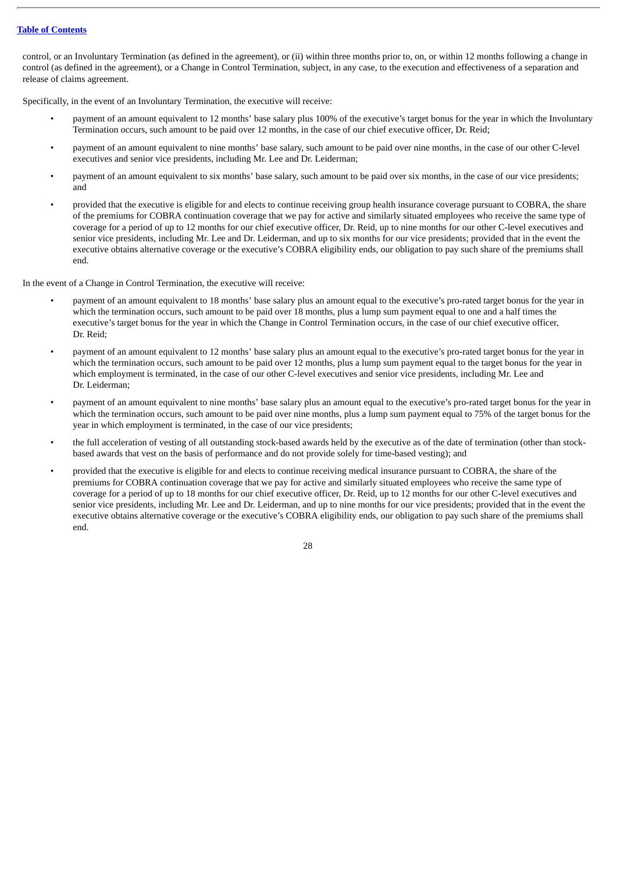control, or an Involuntary Termination (as defined in the agreement), or (ii) within three months prior to, on, or within 12 months following a change in control (as defined in the agreement), or a Change in Control Termination, subject, in any case, to the execution and effectiveness of a separation and release of claims agreement.

Specifically, in the event of an Involuntary Termination, the executive will receive:

- payment of an amount equivalent to 12 months' base salary plus 100% of the executive's target bonus for the year in which the Involuntary Termination occurs, such amount to be paid over 12 months, in the case of our chief executive officer, Dr. Reid;
- payment of an amount equivalent to nine months' base salary, such amount to be paid over nine months, in the case of our other C-level executives and senior vice presidents, including Mr. Lee and Dr. Leiderman;
- payment of an amount equivalent to six months' base salary, such amount to be paid over six months, in the case of our vice presidents; and
- provided that the executive is eligible for and elects to continue receiving group health insurance coverage pursuant to COBRA, the share of the premiums for COBRA continuation coverage that we pay for active and similarly situated employees who receive the same type of coverage for a period of up to 12 months for our chief executive officer, Dr. Reid, up to nine months for our other C-level executives and senior vice presidents, including Mr. Lee and Dr. Leiderman, and up to six months for our vice presidents; provided that in the event the executive obtains alternative coverage or the executive's COBRA eligibility ends, our obligation to pay such share of the premiums shall end.

In the event of a Change in Control Termination, the executive will receive:

- payment of an amount equivalent to 18 months' base salary plus an amount equal to the executive's pro-rated target bonus for the year in which the termination occurs, such amount to be paid over 18 months, plus a lump sum payment equal to one and a half times the executive's target bonus for the year in which the Change in Control Termination occurs, in the case of our chief executive officer, Dr. Reid;
- payment of an amount equivalent to 12 months' base salary plus an amount equal to the executive's pro-rated target bonus for the year in which the termination occurs, such amount to be paid over 12 months, plus a lump sum payment equal to the target bonus for the year in which employment is terminated, in the case of our other C-level executives and senior vice presidents, including Mr. Lee and Dr. Leiderman;
- payment of an amount equivalent to nine months' base salary plus an amount equal to the executive's pro-rated target bonus for the year in which the termination occurs, such amount to be paid over nine months, plus a lump sum payment equal to 75% of the target bonus for the year in which employment is terminated, in the case of our vice presidents;
- the full acceleration of vesting of all outstanding stock-based awards held by the executive as of the date of termination (other than stockbased awards that vest on the basis of performance and do not provide solely for time-based vesting); and
- provided that the executive is eligible for and elects to continue receiving medical insurance pursuant to COBRA, the share of the premiums for COBRA continuation coverage that we pay for active and similarly situated employees who receive the same type of coverage for a period of up to 18 months for our chief executive officer, Dr. Reid, up to 12 months for our other C-level executives and senior vice presidents, including Mr. Lee and Dr. Leiderman, and up to nine months for our vice presidents; provided that in the event the executive obtains alternative coverage or the executive's COBRA eligibility ends, our obligation to pay such share of the premiums shall end.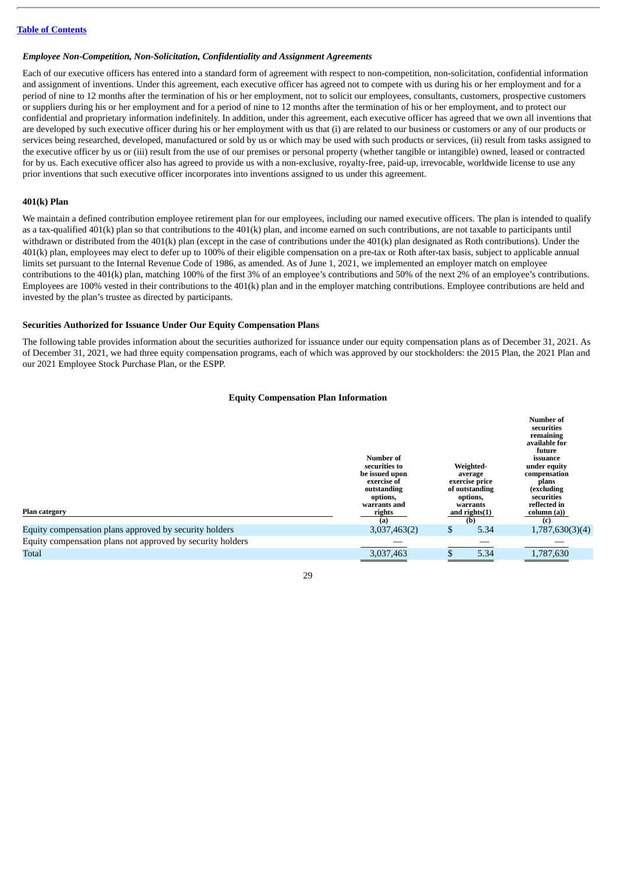#### *Employee Non-Competition, Non-Solicitation, Confidentiality and Assignment Agreements*

Each of our executive officers has entered into a standard form of agreement with respect to non-competition, non-solicitation, confidential information and assignment of inventions. Under this agreement, each executive officer has agreed not to compete with us during his or her employment and for a period of nine to 12 months after the termination of his or her employment, not to solicit our employees, consultants, customers, prospective customers or suppliers during his or her employment and for a period of nine to 12 months after the termination of his or her employment, and to protect our confidential and proprietary information indefinitely. In addition, under this agreement, each executive officer has agreed that we own all inventions that are developed by such executive officer during his or her employment with us that (i) are related to our business or customers or any of our products or services being researched, developed, manufactured or sold by us or which may be used with such products or services, (ii) result from tasks assigned to the executive officer by us or (iii) result from the use of our premises or personal property (whether tangible or intangible) owned, leased or contracted for by us. Each executive officer also has agreed to provide us with a non-exclusive, royalty-free, paid-up, irrevocable, worldwide license to use any prior inventions that such executive officer incorporates into inventions assigned to us under this agreement.

#### <span id="page-32-0"></span>**401(k) Plan**

We maintain a defined contribution employee retirement plan for our employees, including our named executive officers. The plan is intended to qualify as a tax-qualified  $401(k)$  plan so that contributions to the  $401(k)$  plan, and income earned on such contributions, are not taxable to participants until withdrawn or distributed from the 401(k) plan (except in the case of contributions under the 401(k) plan designated as Roth contributions). Under the 401(k) plan, employees may elect to defer up to 100% of their eligible compensation on a pre-tax or Roth after-tax basis, subject to applicable annual limits set pursuant to the Internal Revenue Code of 1986, as amended. As of June 1, 2021, we implemented an employer match on employee contributions to the 401(k) plan, matching 100% of the first 3% of an employee's contributions and 50% of the next 2% of an employee's contributions. Employees are 100% vested in their contributions to the 401(k) plan and in the employer matching contributions. Employee contributions are held and invested by the plan's trustee as directed by participants.

#### <span id="page-32-1"></span>**Securities Authorized for Issuance Under Our Equity Compensation Plans**

The following table provides information about the securities authorized for issuance under our equity compensation plans as of December 31, 2021. As of December 31, 2021, we had three equity compensation programs, each of which was approved by our stockholders: the 2015 Plan, the 2021 Plan and our 2021 Employee Stock Purchase Plan, or the ESPP.

#### **Equity Compensation Plan Information**

| <b>Plan category</b><br>Equity compensation plans approved by security holders | Number of<br>securities to<br>be issued upon<br>exercise of<br>outstanding<br>options,<br>warrants and<br>rights<br>(a)<br>3,037,463(2) | \$<br>Weighted-<br>average<br>exercise price<br>of outstanding<br>options,<br>warrants<br>and rights $(1)$<br>(b)<br>5.34 | <b>Number of</b><br>securities<br>remaining<br>available for<br>future<br>issuance<br>under equity<br>compensation<br>plans<br>(excluding<br>securities<br>reflected in<br>column (a))<br>(c)<br>1,787,630(3)(4) |
|--------------------------------------------------------------------------------|-----------------------------------------------------------------------------------------------------------------------------------------|---------------------------------------------------------------------------------------------------------------------------|------------------------------------------------------------------------------------------------------------------------------------------------------------------------------------------------------------------|
| Equity compensation plans not approved by security holders                     |                                                                                                                                         |                                                                                                                           |                                                                                                                                                                                                                  |
| Total                                                                          | 3,037,463                                                                                                                               | 5.34                                                                                                                      | 1,787,630                                                                                                                                                                                                        |
|                                                                                |                                                                                                                                         |                                                                                                                           |                                                                                                                                                                                                                  |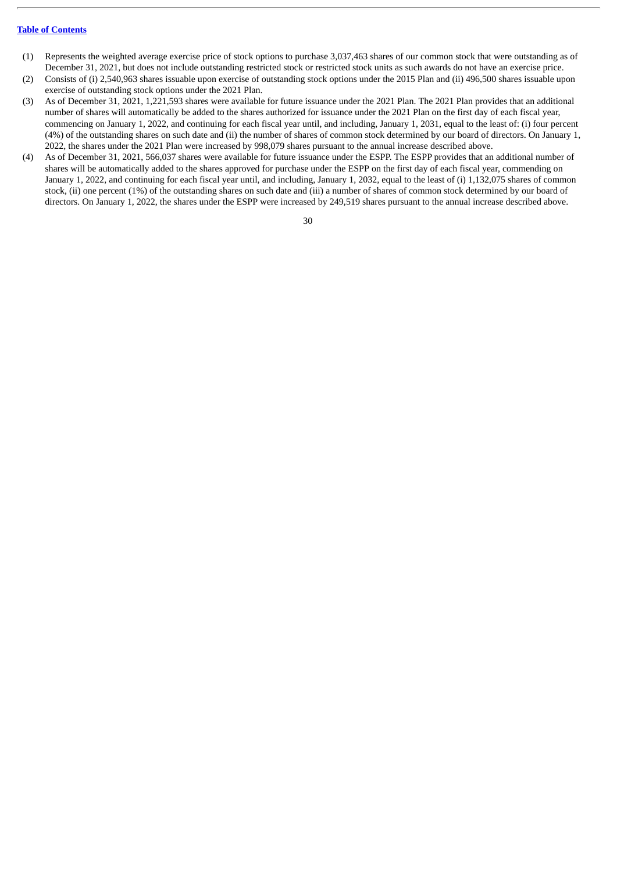- (1) Represents the weighted average exercise price of stock options to purchase 3,037,463 shares of our common stock that were outstanding as of December 31, 2021, but does not include outstanding restricted stock or restricted stock units as such awards do not have an exercise price.
- (2) Consists of (i) 2,540,963 shares issuable upon exercise of outstanding stock options under the 2015 Plan and (ii) 496,500 shares issuable upon exercise of outstanding stock options under the 2021 Plan.
- (3) As of December 31, 2021, 1,221,593 shares were available for future issuance under the 2021 Plan. The 2021 Plan provides that an additional number of shares will automatically be added to the shares authorized for issuance under the 2021 Plan on the first day of each fiscal year, commencing on January 1, 2022, and continuing for each fiscal year until, and including, January 1, 2031, equal to the least of: (i) four percent (4%) of the outstanding shares on such date and (ii) the number of shares of common stock determined by our board of directors. On January 1, 2022, the shares under the 2021 Plan were increased by 998,079 shares pursuant to the annual increase described above.
- (4) As of December 31, 2021, 566,037 shares were available for future issuance under the ESPP. The ESPP provides that an additional number of shares will be automatically added to the shares approved for purchase under the ESPP on the first day of each fiscal year, commending on January 1, 2022, and continuing for each fiscal year until, and including, January 1, 2032, equal to the least of (i) 1,132,075 shares of common stock, (ii) one percent (1%) of the outstanding shares on such date and (iii) a number of shares of common stock determined by our board of directors. On January 1, 2022, the shares under the ESPP were increased by 249,519 shares pursuant to the annual increase described above.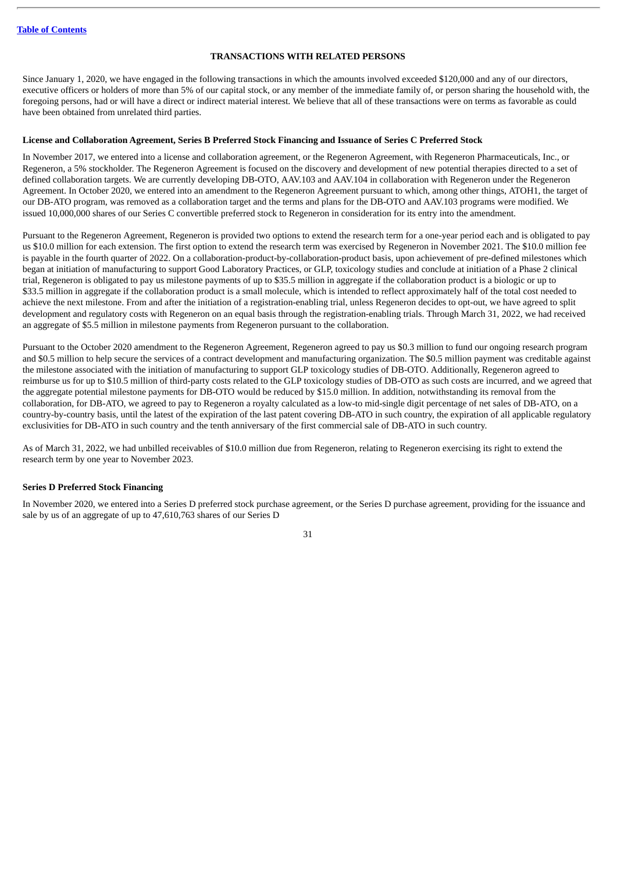## **TRANSACTIONS WITH RELATED PERSONS**

<span id="page-34-0"></span>Since January 1, 2020, we have engaged in the following transactions in which the amounts involved exceeded \$120,000 and any of our directors, executive officers or holders of more than 5% of our capital stock, or any member of the immediate family of, or person sharing the household with, the foregoing persons, had or will have a direct or indirect material interest. We believe that all of these transactions were on terms as favorable as could have been obtained from unrelated third parties.

#### <span id="page-34-1"></span>**License and Collaboration Agreement, Series B Preferred Stock Financing and Issuance of Series C Preferred Stock**

In November 2017, we entered into a license and collaboration agreement, or the Regeneron Agreement, with Regeneron Pharmaceuticals, Inc., or Regeneron, a 5% stockholder. The Regeneron Agreement is focused on the discovery and development of new potential therapies directed to a set of defined collaboration targets. We are currently developing DB-OTO, AAV.103 and AAV.104 in collaboration with Regeneron under the Regeneron Agreement. In October 2020, we entered into an amendment to the Regeneron Agreement pursuant to which, among other things, ATOH1, the target of our DB-ATO program, was removed as a collaboration target and the terms and plans for the DB-OTO and AAV.103 programs were modified. We issued 10,000,000 shares of our Series C convertible preferred stock to Regeneron in consideration for its entry into the amendment.

Pursuant to the Regeneron Agreement, Regeneron is provided two options to extend the research term for a one-year period each and is obligated to pay us \$10.0 million for each extension. The first option to extend the research term was exercised by Regeneron in November 2021. The \$10.0 million fee is payable in the fourth quarter of 2022. On a collaboration-product-by-collaboration-product basis, upon achievement of pre-defined milestones which began at initiation of manufacturing to support Good Laboratory Practices, or GLP, toxicology studies and conclude at initiation of a Phase 2 clinical trial, Regeneron is obligated to pay us milestone payments of up to \$35.5 million in aggregate if the collaboration product is a biologic or up to \$33.5 million in aggregate if the collaboration product is a small molecule, which is intended to reflect approximately half of the total cost needed to achieve the next milestone. From and after the initiation of a registration-enabling trial, unless Regeneron decides to opt-out, we have agreed to split development and regulatory costs with Regeneron on an equal basis through the registration-enabling trials. Through March 31, 2022, we had received an aggregate of \$5.5 million in milestone payments from Regeneron pursuant to the collaboration.

Pursuant to the October 2020 amendment to the Regeneron Agreement, Regeneron agreed to pay us \$0.3 million to fund our ongoing research program and \$0.5 million to help secure the services of a contract development and manufacturing organization. The \$0.5 million payment was creditable against the milestone associated with the initiation of manufacturing to support GLP toxicology studies of DB-OTO. Additionally, Regeneron agreed to reimburse us for up to \$10.5 million of third-party costs related to the GLP toxicology studies of DB-OTO as such costs are incurred, and we agreed that the aggregate potential milestone payments for DB-OTO would be reduced by \$15.0 million. In addition, notwithstanding its removal from the collaboration, for DB-ATO, we agreed to pay to Regeneron a royalty calculated as a low-to mid-single digit percentage of net sales of DB-ATO, on a country-by-country basis, until the latest of the expiration of the last patent covering DB-ATO in such country, the expiration of all applicable regulatory exclusivities for DB-ATO in such country and the tenth anniversary of the first commercial sale of DB-ATO in such country.

As of March 31, 2022, we had unbilled receivables of \$10.0 million due from Regeneron, relating to Regeneron exercising its right to extend the research term by one year to November 2023.

# <span id="page-34-2"></span>**Series D Preferred Stock Financing**

In November 2020, we entered into a Series D preferred stock purchase agreement, or the Series D purchase agreement, providing for the issuance and sale by us of an aggregate of up to 47,610,763 shares of our Series D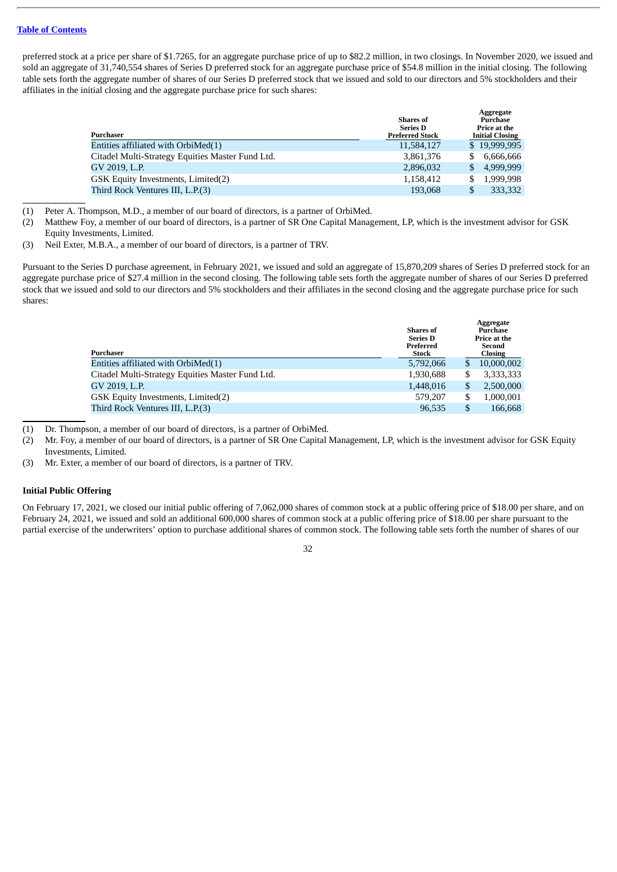preferred stock at a price per share of \$1.7265, for an aggregate purchase price of up to \$82.2 million, in two closings. In November 2020, we issued and sold an aggregate of 31,740,554 shares of Series D preferred stock for an aggregate purchase price of \$54.8 million in the initial closing. The following table sets forth the aggregate number of shares of our Series D preferred stock that we issued and sold to our directors and 5% stockholders and their affiliates in the initial closing and the aggregate purchase price for such shares:

| Purchaser                                        | <b>Shares of</b><br><b>Series D</b><br><b>Preferred Stock</b> |              | Aggregate<br>Purchase<br>Price at the<br><b>Initial Closing</b> |
|--------------------------------------------------|---------------------------------------------------------------|--------------|-----------------------------------------------------------------|
| Entities affiliated with $OrbiMed(1)$            | 11,584,127                                                    |              | \$19,999,995                                                    |
| Citadel Multi-Strategy Equities Master Fund Ltd. | 3,861,376                                                     | S.           | 6,666,666                                                       |
| GV 2019, L.P.                                    | 2,896,032                                                     | \$.          | 4.999.999                                                       |
| GSK Equity Investments, Limited(2)               | 1,158,412                                                     | S            | 1,999,998                                                       |
| Third Rock Ventures III, L.P.(3)                 | 193,068                                                       | $\mathbf{S}$ | 333,332                                                         |

(1) Peter A. Thompson, M.D., a member of our board of directors, is a partner of OrbiMed.

- (2) Matthew Foy, a member of our board of directors, is a partner of SR One Capital Management, LP, which is the investment advisor for GSK Equity Investments, Limited.
- (3) Neil Exter, M.B.A., a member of our board of directors, is a partner of TRV.

Pursuant to the Series D purchase agreement, in February 2021, we issued and sold an aggregate of 15,870,209 shares of Series D preferred stock for an aggregate purchase price of \$27.4 million in the second closing. The following table sets forth the aggregate number of shares of our Series D preferred stock that we issued and sold to our directors and 5% stockholders and their affiliates in the second closing and the aggregate purchase price for such shares:

| Purchaser                                        | <b>Shares of</b><br><b>Series D</b><br>Preferred<br>Stock |   | Aggregate<br>Purchase<br>Price at the<br>Second<br><b>Closing</b> |
|--------------------------------------------------|-----------------------------------------------------------|---|-------------------------------------------------------------------|
| Entities affiliated with OrbiMed(1)              | 5,792,066                                                 |   | 10,000,002                                                        |
| Citadel Multi-Strategy Equities Master Fund Ltd. | 1,930,688                                                 |   | 3,333,333                                                         |
| GV 2019, L.P.                                    | 1,448,016                                                 | S | 2,500,000                                                         |
| GSK Equity Investments, Limited(2)               | 579,207                                                   |   | 1,000,001                                                         |
| Third Rock Ventures III, L.P.(3)                 | 96,535                                                    |   | 166,668                                                           |
|                                                  |                                                           |   |                                                                   |

(1) Dr. Thompson, a member of our board of directors, is a partner of OrbiMed.

(2) Mr. Foy, a member of our board of directors, is a partner of SR One Capital Management, LP, which is the investment advisor for GSK Equity Investments, Limited.

(3) Mr. Exter, a member of our board of directors, is a partner of TRV.

# <span id="page-35-0"></span>**Initial Public Offering**

On February 17, 2021, we closed our initial public offering of 7,062,000 shares of common stock at a public offering price of \$18.00 per share, and on February 24, 2021, we issued and sold an additional 600,000 shares of common stock at a public offering price of \$18.00 per share pursuant to the partial exercise of the underwriters' option to purchase additional shares of common stock. The following table sets forth the number of shares of our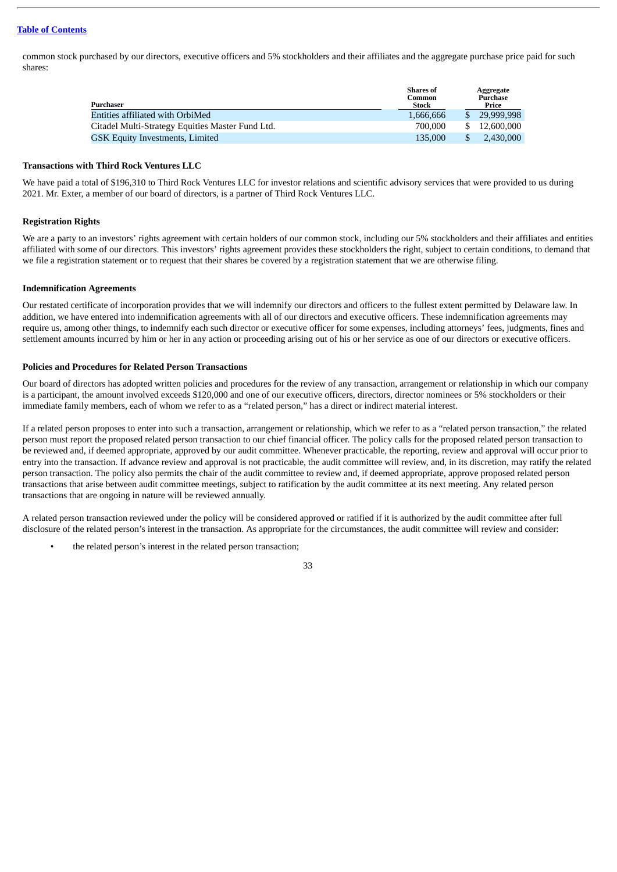common stock purchased by our directors, executive officers and 5% stockholders and their affiliates and the aggregate purchase price paid for such shares:

| Purchaser                                        | <b>Shares</b> of<br>Common<br>Stock | Aggregate<br>Purchase<br>Price |
|--------------------------------------------------|-------------------------------------|--------------------------------|
| Entities affiliated with OrbiMed                 | 1.666.666                           | 29,999,998                     |
| Citadel Multi-Strategy Equities Master Fund Ltd. | 700,000                             | 12,600,000                     |
| GSK Equity Investments, Limited                  | 135,000                             | 2.430,000                      |
|                                                  |                                     |                                |

#### <span id="page-36-0"></span>**Transactions with Third Rock Ventures LLC**

We have paid a total of \$196,310 to Third Rock Ventures LLC for investor relations and scientific advisory services that were provided to us during 2021. Mr. Exter, a member of our board of directors, is a partner of Third Rock Ventures LLC.

# <span id="page-36-1"></span>**Registration Rights**

We are a party to an investors' rights agreement with certain holders of our common stock, including our 5% stockholders and their affiliates and entities affiliated with some of our directors. This investors' rights agreement provides these stockholders the right, subject to certain conditions, to demand that we file a registration statement or to request that their shares be covered by a registration statement that we are otherwise filing.

# <span id="page-36-2"></span>**Indemnification Agreements**

Our restated certificate of incorporation provides that we will indemnify our directors and officers to the fullest extent permitted by Delaware law. In addition, we have entered into indemnification agreements with all of our directors and executive officers. These indemnification agreements may require us, among other things, to indemnify each such director or executive officer for some expenses, including attorneys' fees, judgments, fines and settlement amounts incurred by him or her in any action or proceeding arising out of his or her service as one of our directors or executive officers.

# <span id="page-36-3"></span>**Policies and Procedures for Related Person Transactions**

Our board of directors has adopted written policies and procedures for the review of any transaction, arrangement or relationship in which our company is a participant, the amount involved exceeds \$120,000 and one of our executive officers, directors, director nominees or 5% stockholders or their immediate family members, each of whom we refer to as a "related person," has a direct or indirect material interest.

If a related person proposes to enter into such a transaction, arrangement or relationship, which we refer to as a "related person transaction," the related person must report the proposed related person transaction to our chief financial officer. The policy calls for the proposed related person transaction to be reviewed and, if deemed appropriate, approved by our audit committee. Whenever practicable, the reporting, review and approval will occur prior to entry into the transaction. If advance review and approval is not practicable, the audit committee will review, and, in its discretion, may ratify the related person transaction. The policy also permits the chair of the audit committee to review and, if deemed appropriate, approve proposed related person transactions that arise between audit committee meetings, subject to ratification by the audit committee at its next meeting. Any related person transactions that are ongoing in nature will be reviewed annually.

A related person transaction reviewed under the policy will be considered approved or ratified if it is authorized by the audit committee after full disclosure of the related person's interest in the transaction. As appropriate for the circumstances, the audit committee will review and consider:

the related person's interest in the related person transaction;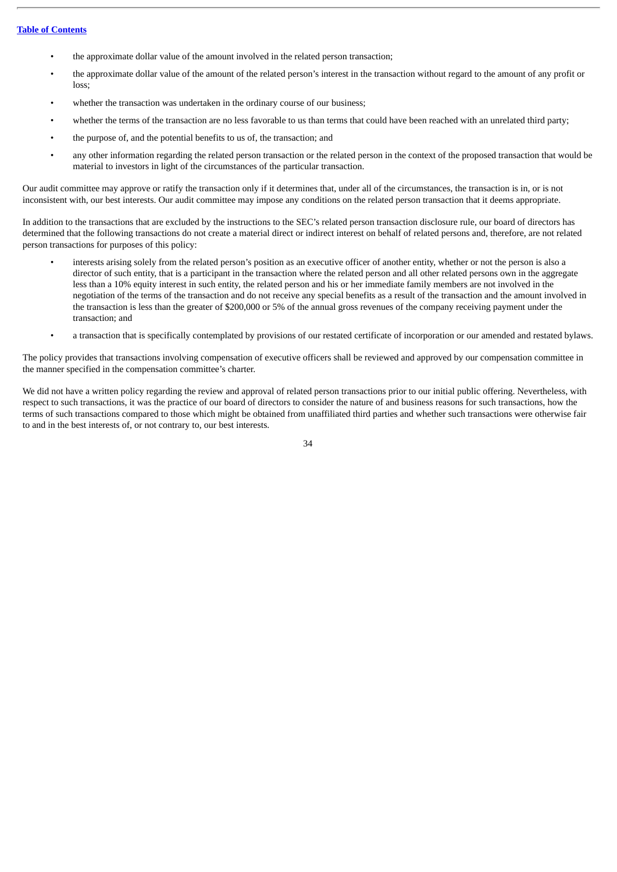- the approximate dollar value of the amount involved in the related person transaction;
- the approximate dollar value of the amount of the related person's interest in the transaction without regard to the amount of any profit or loss;
- whether the transaction was undertaken in the ordinary course of our business:
- whether the terms of the transaction are no less favorable to us than terms that could have been reached with an unrelated third party;
- the purpose of, and the potential benefits to us of, the transaction; and
- any other information regarding the related person transaction or the related person in the context of the proposed transaction that would be material to investors in light of the circumstances of the particular transaction.

Our audit committee may approve or ratify the transaction only if it determines that, under all of the circumstances, the transaction is in, or is not inconsistent with, our best interests. Our audit committee may impose any conditions on the related person transaction that it deems appropriate.

In addition to the transactions that are excluded by the instructions to the SEC's related person transaction disclosure rule, our board of directors has determined that the following transactions do not create a material direct or indirect interest on behalf of related persons and, therefore, are not related person transactions for purposes of this policy:

- interests arising solely from the related person's position as an executive officer of another entity, whether or not the person is also a director of such entity, that is a participant in the transaction where the related person and all other related persons own in the aggregate less than a 10% equity interest in such entity, the related person and his or her immediate family members are not involved in the negotiation of the terms of the transaction and do not receive any special benefits as a result of the transaction and the amount involved in the transaction is less than the greater of \$200,000 or 5% of the annual gross revenues of the company receiving payment under the transaction; and
- a transaction that is specifically contemplated by provisions of our restated certificate of incorporation or our amended and restated bylaws.

The policy provides that transactions involving compensation of executive officers shall be reviewed and approved by our compensation committee in the manner specified in the compensation committee's charter.

We did not have a written policy regarding the review and approval of related person transactions prior to our initial public offering. Nevertheless, with respect to such transactions, it was the practice of our board of directors to consider the nature of and business reasons for such transactions, how the terms of such transactions compared to those which might be obtained from unaffiliated third parties and whether such transactions were otherwise fair to and in the best interests of, or not contrary to, our best interests.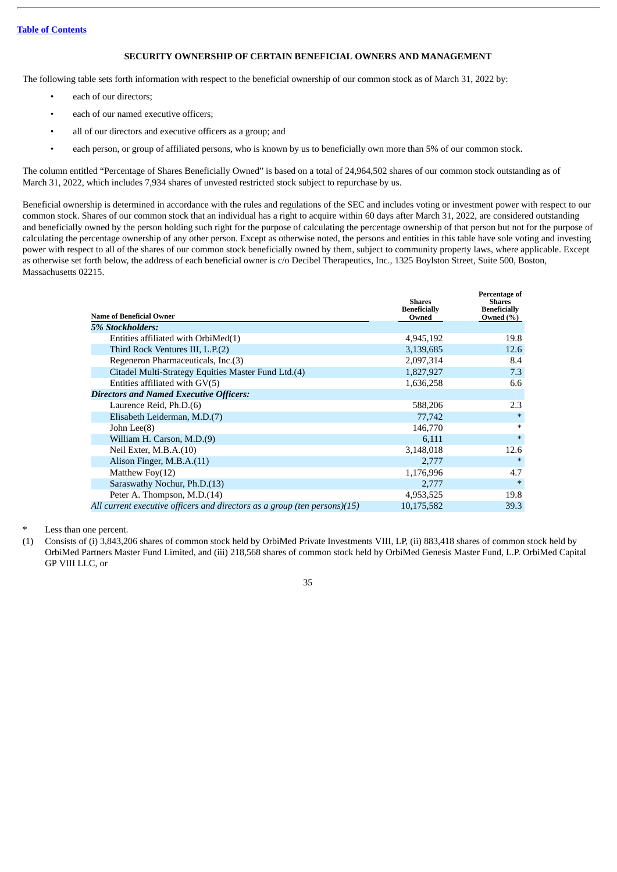# **SECURITY OWNERSHIP OF CERTAIN BENEFICIAL OWNERS AND MANAGEMENT**

<span id="page-38-0"></span>The following table sets forth information with respect to the beneficial ownership of our common stock as of March 31, 2022 by:

- each of our directors;
- each of our named executive officers:
- all of our directors and executive officers as a group; and
- each person, or group of affiliated persons, who is known by us to beneficially own more than 5% of our common stock.

The column entitled "Percentage of Shares Beneficially Owned" is based on a total of 24,964,502 shares of our common stock outstanding as of March 31, 2022, which includes 7,934 shares of unvested restricted stock subject to repurchase by us.

Beneficial ownership is determined in accordance with the rules and regulations of the SEC and includes voting or investment power with respect to our common stock. Shares of our common stock that an individual has a right to acquire within 60 days after March 31, 2022, are considered outstanding and beneficially owned by the person holding such right for the purpose of calculating the percentage ownership of that person but not for the purpose of calculating the percentage ownership of any other person. Except as otherwise noted, the persons and entities in this table have sole voting and investing power with respect to all of the shares of our common stock beneficially owned by them, subject to community property laws, where applicable. Except as otherwise set forth below, the address of each beneficial owner is c/o Decibel Therapeutics, Inc., 1325 Boylston Street, Suite 500, Boston, Massachusetts 02215.

| <b>Name of Beneficial Owner</b>                                           | <b>Shares</b><br><b>Beneficially</b><br>Owned | Percentage of<br><b>Shares</b><br><b>Beneficially</b><br>Owned $(\%)$ |
|---------------------------------------------------------------------------|-----------------------------------------------|-----------------------------------------------------------------------|
| 5% Stockholders:                                                          |                                               |                                                                       |
| Entities affiliated with OrbiMed(1)                                       | 4,945,192                                     | 19.8                                                                  |
| Third Rock Ventures III, L.P.(2)                                          | 3,139,685                                     | 12.6                                                                  |
| Regeneron Pharmaceuticals, Inc.(3)                                        | 2,097,314                                     | 8.4                                                                   |
| Citadel Multi-Strategy Equities Master Fund Ltd.(4)                       | 1,827,927                                     | 7.3                                                                   |
| Entities affiliated with GV(5)                                            | 1,636,258                                     | 6.6                                                                   |
| <b>Directors and Named Executive Officers:</b>                            |                                               |                                                                       |
| Laurence Reid, Ph.D.(6)                                                   | 588,206                                       | 2.3                                                                   |
| Elisabeth Leiderman, M.D.(7)                                              | 77,742                                        | $\ast$                                                                |
| John Lee(8)                                                               | 146,770                                       | $\ast$                                                                |
| William H. Carson, M.D.(9)                                                | 6,111                                         | $\ast$                                                                |
| Neil Exter, $M.B.A.(10)$                                                  | 3,148,018                                     | 12.6                                                                  |
| Alison Finger, M.B.A.(11)                                                 | 2,777                                         | $\ast$                                                                |
| Matthew $Fov(12)$                                                         | 1,176,996                                     | 4.7                                                                   |
| Saraswathy Nochur, Ph.D.(13)                                              | 2,777                                         | $\ast$                                                                |
| Peter A. Thompson, M.D.(14)                                               | 4,953,525                                     | 19.8                                                                  |
| All current executive officers and directors as a group (ten persons)(15) | 10,175,582                                    | 39.3                                                                  |

Less than one percent.

(1) Consists of (i) 3,843,206 shares of common stock held by OrbiMed Private Investments VIII, LP, (ii) 883,418 shares of common stock held by OrbiMed Partners Master Fund Limited, and (iii) 218,568 shares of common stock held by OrbiMed Genesis Master Fund, L.P. OrbiMed Capital GP VIII LLC, or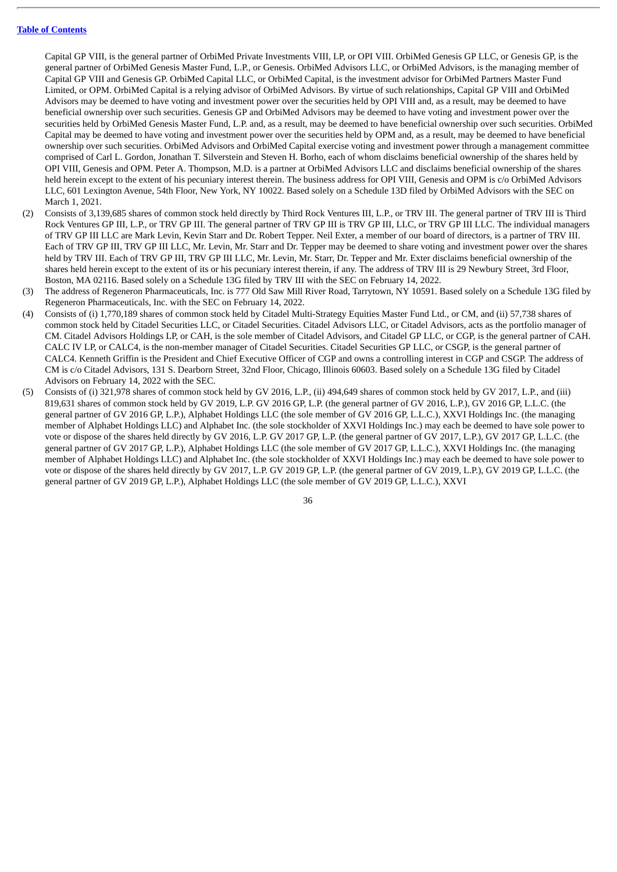Capital GP VIII, is the general partner of OrbiMed Private Investments VIII, LP, or OPI VIII. OrbiMed Genesis GP LLC, or Genesis GP, is the general partner of OrbiMed Genesis Master Fund, L.P., or Genesis. OrbiMed Advisors LLC, or OrbiMed Advisors, is the managing member of Capital GP VIII and Genesis GP. OrbiMed Capital LLC, or OrbiMed Capital, is the investment advisor for OrbiMed Partners Master Fund Limited, or OPM. OrbiMed Capital is a relying advisor of OrbiMed Advisors. By virtue of such relationships, Capital GP VIII and OrbiMed Advisors may be deemed to have voting and investment power over the securities held by OPI VIII and, as a result, may be deemed to have beneficial ownership over such securities. Genesis GP and OrbiMed Advisors may be deemed to have voting and investment power over the securities held by OrbiMed Genesis Master Fund, L.P. and, as a result, may be deemed to have beneficial ownership over such securities. OrbiMed Capital may be deemed to have voting and investment power over the securities held by OPM and, as a result, may be deemed to have beneficial ownership over such securities. OrbiMed Advisors and OrbiMed Capital exercise voting and investment power through a management committee comprised of Carl L. Gordon, Jonathan T. Silverstein and Steven H. Borho, each of whom disclaims beneficial ownership of the shares held by OPI VIII, Genesis and OPM. Peter A. Thompson, M.D. is a partner at OrbiMed Advisors LLC and disclaims beneficial ownership of the shares held herein except to the extent of his pecuniary interest therein. The business address for OPI VIII, Genesis and OPM is c/o OrbiMed Advisors LLC, 601 Lexington Avenue, 54th Floor, New York, NY 10022. Based solely on a Schedule 13D filed by OrbiMed Advisors with the SEC on March 1, 2021.

- (2) Consists of 3,139,685 shares of common stock held directly by Third Rock Ventures III, L.P., or TRV III. The general partner of TRV III is Third Rock Ventures GP III, L.P., or TRV GP III. The general partner of TRV GP III is TRV GP III, LLC, or TRV GP III LLC. The individual managers of TRV GP III LLC are Mark Levin, Kevin Starr and Dr. Robert Tepper. Neil Exter, a member of our board of directors, is a partner of TRV III. Each of TRV GP III, TRV GP III LLC, Mr. Levin, Mr. Starr and Dr. Tepper may be deemed to share voting and investment power over the shares held by TRV III. Each of TRV GP III, TRV GP III LLC, Mr. Levin, Mr. Starr, Dr. Tepper and Mr. Exter disclaims beneficial ownership of the shares held herein except to the extent of its or his pecuniary interest therein, if any. The address of TRV III is 29 Newbury Street, 3rd Floor, Boston, MA 02116. Based solely on a Schedule 13G filed by TRV III with the SEC on February 14, 2022.
- (3) The address of Regeneron Pharmaceuticals, Inc. is 777 Old Saw Mill River Road, Tarrytown, NY 10591. Based solely on a Schedule 13G filed by Regeneron Pharmaceuticals, Inc. with the SEC on February 14, 2022.
- (4) Consists of (i) 1,770,189 shares of common stock held by Citadel Multi-Strategy Equities Master Fund Ltd., or CM, and (ii) 57,738 shares of common stock held by Citadel Securities LLC, or Citadel Securities. Citadel Advisors LLC, or Citadel Advisors, acts as the portfolio manager of CM. Citadel Advisors Holdings LP, or CAH, is the sole member of Citadel Advisors, and Citadel GP LLC, or CGP, is the general partner of CAH. CALC IV LP, or CALC4, is the non-member manager of Citadel Securities. Citadel Securities GP LLC, or CSGP, is the general partner of CALC4. Kenneth Griffin is the President and Chief Executive Officer of CGP and owns a controlling interest in CGP and CSGP. The address of CM is c/o Citadel Advisors, 131 S. Dearborn Street, 32nd Floor, Chicago, Illinois 60603. Based solely on a Schedule 13G filed by Citadel Advisors on February 14, 2022 with the SEC.
- (5) Consists of (i) 321,978 shares of common stock held by GV 2016, L.P., (ii) 494,649 shares of common stock held by GV 2017, L.P., and (iii) 819,631 shares of common stock held by GV 2019, L.P. GV 2016 GP, L.P. (the general partner of GV 2016, L.P.), GV 2016 GP, L.L.C. (the general partner of GV 2016 GP, L.P.), Alphabet Holdings LLC (the sole member of GV 2016 GP, L.L.C.), XXVI Holdings Inc. (the managing member of Alphabet Holdings LLC) and Alphabet Inc. (the sole stockholder of XXVI Holdings Inc.) may each be deemed to have sole power to vote or dispose of the shares held directly by GV 2016, L.P. GV 2017 GP, L.P. (the general partner of GV 2017, L.P.), GV 2017 GP, L.L.C. (the general partner of GV 2017 GP, L.P.), Alphabet Holdings LLC (the sole member of GV 2017 GP, L.L.C.), XXVI Holdings Inc. (the managing member of Alphabet Holdings LLC) and Alphabet Inc. (the sole stockholder of XXVI Holdings Inc.) may each be deemed to have sole power to vote or dispose of the shares held directly by GV 2017, L.P. GV 2019 GP, L.P. (the general partner of GV 2019, L.P.), GV 2019 GP, L.L.C. (the general partner of GV 2019 GP, L.P.), Alphabet Holdings LLC (the sole member of GV 2019 GP, L.L.C.), XXVI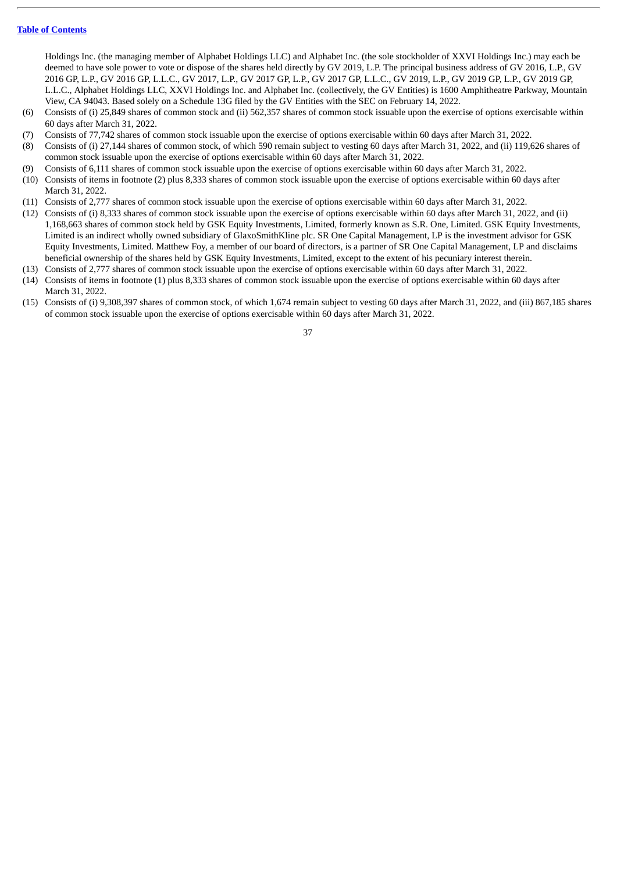Holdings Inc. (the managing member of Alphabet Holdings LLC) and Alphabet Inc. (the sole stockholder of XXVI Holdings Inc.) may each be deemed to have sole power to vote or dispose of the shares held directly by GV 2019, L.P. The principal business address of GV 2016, L.P., GV 2016 GP, L.P., GV 2016 GP, L.L.C., GV 2017, L.P., GV 2017 GP, L.P., GV 2017 GP, L.L.C., GV 2019, L.P., GV 2019 GP, L.P., GV 2019 GP, L.L.C., Alphabet Holdings LLC, XXVI Holdings Inc. and Alphabet Inc. (collectively, the GV Entities) is 1600 Amphitheatre Parkway, Mountain View, CA 94043. Based solely on a Schedule 13G filed by the GV Entities with the SEC on February 14, 2022.

- (6) Consists of (i) 25,849 shares of common stock and (ii) 562,357 shares of common stock issuable upon the exercise of options exercisable within 60 days after March 31, 2022.
- (7) Consists of 77,742 shares of common stock issuable upon the exercise of options exercisable within 60 days after March 31, 2022.
- (8) Consists of (i) 27,144 shares of common stock, of which 590 remain subject to vesting 60 days after March 31, 2022, and (ii) 119,626 shares of common stock issuable upon the exercise of options exercisable within 60 days after March 31, 2022.
- (9) Consists of 6,111 shares of common stock issuable upon the exercise of options exercisable within 60 days after March 31, 2022.
- (10) Consists of items in footnote (2) plus 8,333 shares of common stock issuable upon the exercise of options exercisable within 60 days after March 31, 2022.
- (11) Consists of 2,777 shares of common stock issuable upon the exercise of options exercisable within 60 days after March 31, 2022.
- (12) Consists of (i) 8,333 shares of common stock issuable upon the exercise of options exercisable within 60 days after March 31, 2022, and (ii) 1,168,663 shares of common stock held by GSK Equity Investments, Limited, formerly known as S.R. One, Limited. GSK Equity Investments, Limited is an indirect wholly owned subsidiary of GlaxoSmithKline plc. SR One Capital Management, LP is the investment advisor for GSK Equity Investments, Limited. Matthew Foy, a member of our board of directors, is a partner of SR One Capital Management, LP and disclaims beneficial ownership of the shares held by GSK Equity Investments, Limited, except to the extent of his pecuniary interest therein.
- (13) Consists of 2,777 shares of common stock issuable upon the exercise of options exercisable within 60 days after March 31, 2022.
- (14) Consists of items in footnote (1) plus 8,333 shares of common stock issuable upon the exercise of options exercisable within 60 days after March 31, 2022.
- (15) Consists of (i) 9,308,397 shares of common stock, of which 1,674 remain subject to vesting 60 days after March 31, 2022, and (iii) 867,185 shares of common stock issuable upon the exercise of options exercisable within 60 days after March 31, 2022.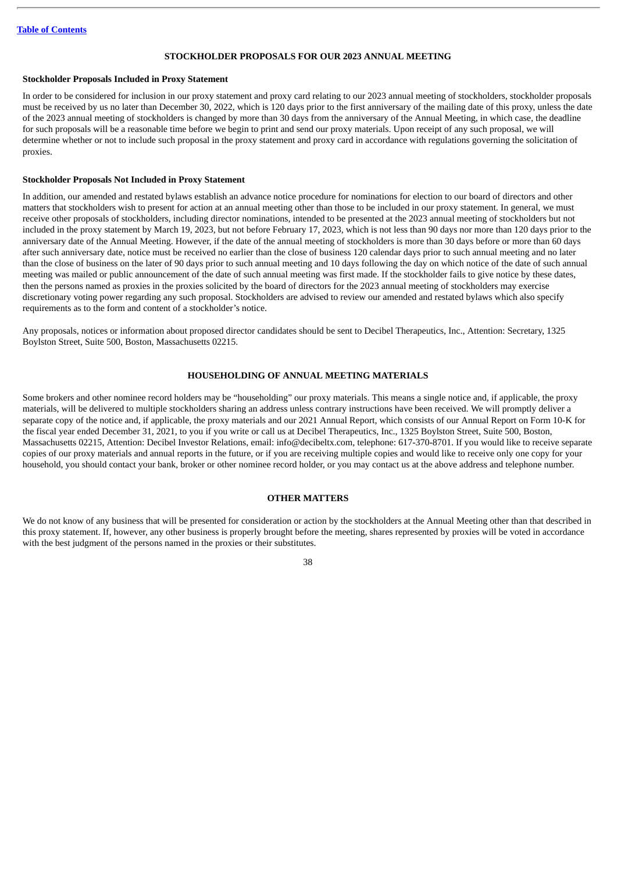#### **STOCKHOLDER PROPOSALS FOR OUR 2023 ANNUAL MEETING**

# <span id="page-41-1"></span><span id="page-41-0"></span>**Stockholder Proposals Included in Proxy Statement**

In order to be considered for inclusion in our proxy statement and proxy card relating to our 2023 annual meeting of stockholders, stockholder proposals must be received by us no later than December 30, 2022, which is 120 days prior to the first anniversary of the mailing date of this proxy, unless the date of the 2023 annual meeting of stockholders is changed by more than 30 days from the anniversary of the Annual Meeting, in which case, the deadline for such proposals will be a reasonable time before we begin to print and send our proxy materials. Upon receipt of any such proposal, we will determine whether or not to include such proposal in the proxy statement and proxy card in accordance with regulations governing the solicitation of proxies.

#### <span id="page-41-2"></span>**Stockholder Proposals Not Included in Proxy Statement**

In addition, our amended and restated bylaws establish an advance notice procedure for nominations for election to our board of directors and other matters that stockholders wish to present for action at an annual meeting other than those to be included in our proxy statement. In general, we must receive other proposals of stockholders, including director nominations, intended to be presented at the 2023 annual meeting of stockholders but not included in the proxy statement by March 19, 2023, but not before February 17, 2023, which is not less than 90 days nor more than 120 days prior to the anniversary date of the Annual Meeting. However, if the date of the annual meeting of stockholders is more than 30 days before or more than 60 days after such anniversary date, notice must be received no earlier than the close of business 120 calendar days prior to such annual meeting and no later than the close of business on the later of 90 days prior to such annual meeting and 10 days following the day on which notice of the date of such annual meeting was mailed or public announcement of the date of such annual meeting was first made. If the stockholder fails to give notice by these dates, then the persons named as proxies in the proxies solicited by the board of directors for the 2023 annual meeting of stockholders may exercise discretionary voting power regarding any such proposal. Stockholders are advised to review our amended and restated bylaws which also specify requirements as to the form and content of a stockholder's notice.

Any proposals, notices or information about proposed director candidates should be sent to Decibel Therapeutics, Inc., Attention: Secretary, 1325 Boylston Street, Suite 500, Boston, Massachusetts 02215.

#### **HOUSEHOLDING OF ANNUAL MEETING MATERIALS**

<span id="page-41-3"></span>Some brokers and other nominee record holders may be "householding" our proxy materials. This means a single notice and, if applicable, the proxy materials, will be delivered to multiple stockholders sharing an address unless contrary instructions have been received. We will promptly deliver a separate copy of the notice and, if applicable, the proxy materials and our 2021 Annual Report, which consists of our Annual Report on Form 10-K for the fiscal year ended December 31, 2021, to you if you write or call us at Decibel Therapeutics, Inc., 1325 Boylston Street, Suite 500, Boston, Massachusetts 02215, Attention: Decibel Investor Relations, email: info@decibeltx.com, telephone: 617-370-8701. If you would like to receive separate copies of our proxy materials and annual reports in the future, or if you are receiving multiple copies and would like to receive only one copy for your household, you should contact your bank, broker or other nominee record holder, or you may contact us at the above address and telephone number.

# **OTHER MATTERS**

<span id="page-41-4"></span>We do not know of any business that will be presented for consideration or action by the stockholders at the Annual Meeting other than that described in this proxy statement. If, however, any other business is properly brought before the meeting, shares represented by proxies will be voted in accordance with the best judgment of the persons named in the proxies or their substitutes.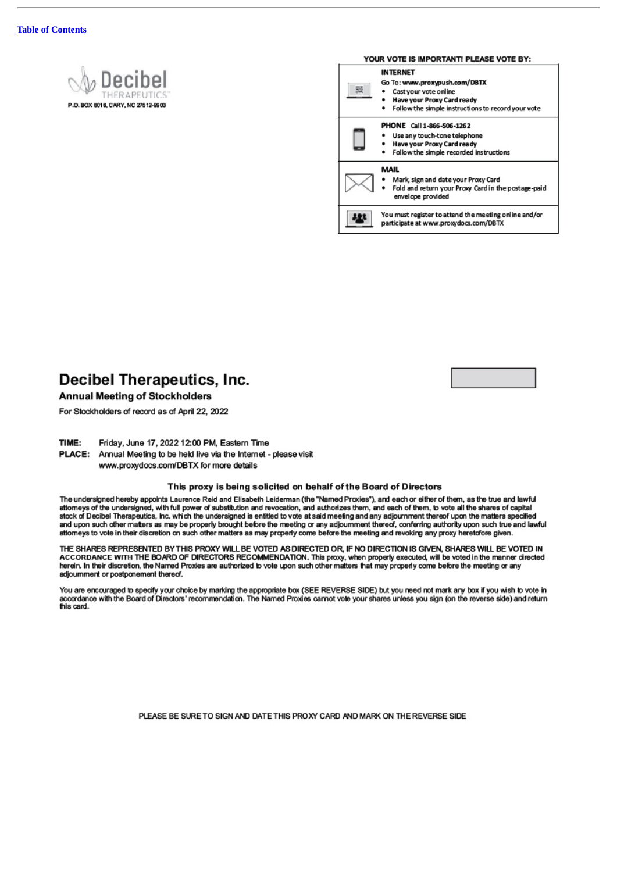# .O. BOX 8016, CARY, NC 27512-9903



# Decibel Therapeutics, Inc.

**Annual Meeting of Stockholders** 

For Stockholders of record as of April 22, 2022

TIME: Friday, June 17, 2022 12:00 PM, Eastern Time

PLACE: Annual Meeting to be held live via the Internet - please visit www.proxydocs.com/DBTX for more details

#### This proxy is being solicited on behalf of the Board of Directors

The undersigned hereby appoints Laurence Reid and Elisabeth Leiderman (the "Named Proxies"), and each or either of them, as the true and lawful attomeys of the undersigned, with full power of substitution and revocation, and authorizes them, and each of them, to vote all the shares of capital stock of Decibel Therapeutics, Inc. which the undersigned is entitled to vote at said meeting and any adjournment thereof upon the matters specified and upon such other matters as may be properly brought before the meeting or any adjournment thereof, conferring authority upon such true and lawful attomeys to vote in their discretion on such other matters as may properly come before the meeting and revoking any proxy heretofore given.

THE SHARES REPRESENTED BY THIS PROXY WILL BE VOTED AS DIRECTED OR, IF NO DIRECTION IS GIVEN, SHARES WILL BE VOTED IN<br>ACCORDANCE WITH THE BOARD OF DIRECTORS RECOMMENDATION. This proxy, when properly executed, will be voted herein. In their discretion, the Named Proxies are authorized to vote upon such other matters that may properly come before the meeting or any adjoumment or postponement thereof.

You are encouraged to specify your choice by marking the appropriate box (SEE REVERSE SIDE) but you need not mark any box if you wish to vote in<br>accordance with the Board of Directors' recommendation. The Named Proxies can this card.

PLEASE BE SURE TO SIGN AND DATE THIS PROXY CARD AND MARK ON THE REVERSE SIDE